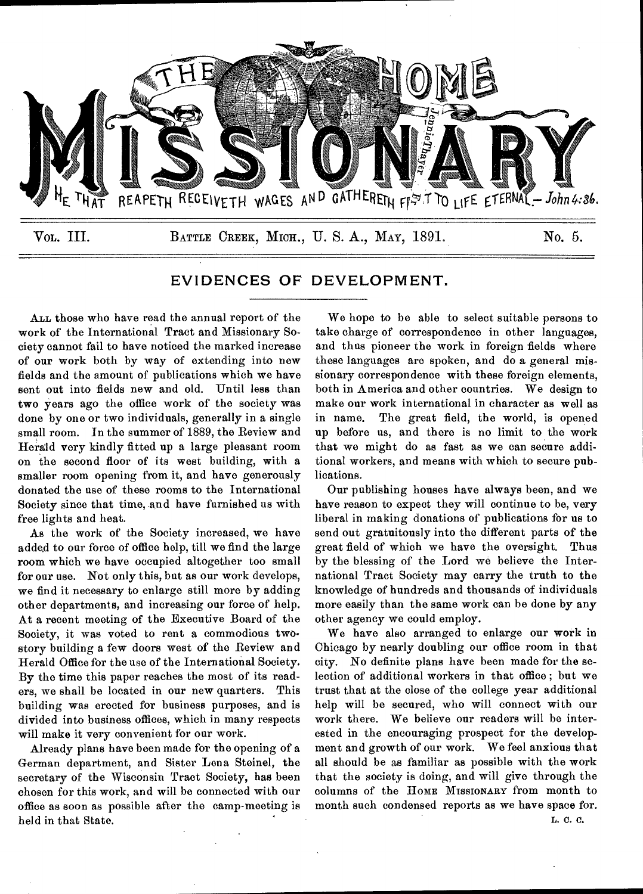

# **EVIDENCES OF DEVELOPMENT.**

ALL those who have read the annual report of the work of the International Tract and Missionary Society cannot fail to have noticed the marked increase of our work both by way of extending into new fields and the amount of publications which we have sent out into fields new and old. Until less than two years ago the office work of the society was done by one or two individuals, generally in a single small room. In the summer of 1889, the Review and Herald very kindly fitted up a large pleasant room on the second floor of its west building, with a smaller room opening from it, and have generously donated the use of these rooms to the International Society since that time, and have furnished us with free lights and heat.

As the work of the Society increased, we have added to our force of office help, till we find the large room which we have occupied altogether too small for our use. Not only this, but as our work develops, we find it necessary to enlarge still more by adding other departments, and increasing our force of help. At a recent meeting of the Executive Board of the Society, it was voted to rent a commodious twostory building a few doors west of the Review and Herald Office for the use of the International Society. By the time this paper reaches the most of its readers, we shall be located in our new quarters. This building was erected for business purposes, and is divided into business offices, which in many respects will make it very convenient for our work.

Already plans have been made for the opening of a German department, and Sister Lena Steinel, the secretary of the Wisconsin Tract Society, has been chosen for this work, and will be connected with our office as soon as possible after the camp-meeting is held in that State.

We hope to be able to select suitable persons to take charge of correspondence in other languages, and thus pioneer the work in foreign fields where these languages are spoken, and do a general missionary correspondence with these foreign elements, both in America and other countries. We design to make our work international in character as well as in name. The great field, the world, is opened up before us, and there is no limit to the work that we might do as fast as we can secure additional workers, and means with which to secure publications.

Our publishing houses have always been, and we have reason to expect they will continue to be, very liberal in making donations of publications for us to send out gratuitously into the different parts of the great field of which we have the oversight. Thus by the blessing of the Lord we believe the International Tract Society may carry the truth to the knowledge of hundreds and thousands of individuals more easily than the same work can be done by any other agency we could employ.

We have also arranged to enlarge our work in Chicago by nearly doubling our office room in that city. No definite plans have been made for the selection of additional workers in that office ; but we trust that at the close of the college year additional help will be secured, who will connect with our work there. We believe our readers will be interested in the encouraging prospect for the development and growth of our work. We feel anxious that all should be as familiar as possible with the work that the society is doing, and will give through the columns of the HOME MISSIONARY from month to month such condensed reports as we have space for.

L. C. C.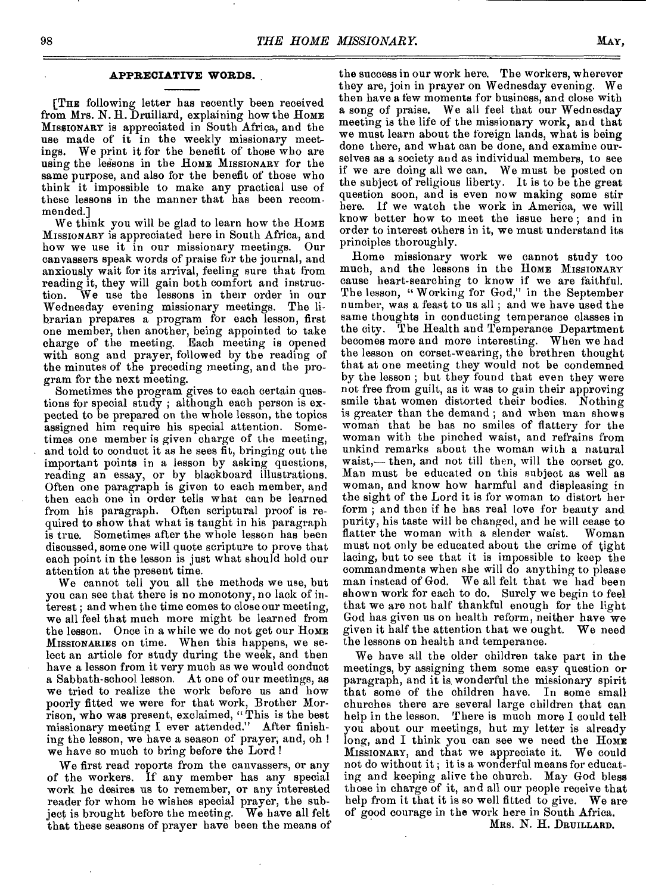### **APPRECIATIVE WORDS.**

[THE following letter has recently been received from Mrs. N. H. Druillard, explaining how the HOME MISSIONARY is appreciated in South Africa, and the use made of it in the weekly missionary meetings. We print it for the benefit of those who are using the lessons in the Home MISSIONARY for the same purpose, and also for the benefit of those who think it impossible to make any practical use of these lessons in the manner that has been recommended.]

We think you will be glad to learn how the HOME MISSIONARY is appreciated here in South Africa, and how we use it in our missionary meetings. Our canvassers speak words of praise for the journal, and anxiously wait for its arrival, feeling sure that from reading it, they will gain both comfort and instruction. We use the lessons in their order in our Wednesday evening missionary meetings. The librarian prepares a program for each lesson, first one member, then another, being appointed to take charge of the meeting. Each meeting is opened with song and prayer, followed by the reading of the minutes of the preceding meeting, and the program for the next meeting.

Sometimes the program gives to each certain questions for special study ; although each person is expected to be prepared on the whole lesson, the topics assigned him require his special attention. Sometimes one member is given charge of the meeting, and told to conduct it as he sees fit, bringing out the important points in a lesson by asking questions, reading an essay, or by blackboard illustrations. Often one paragraph is given to each member, and then each one in order tells what can be learned from his paragraph. Often scriptural proof is required to show that what is taught in his paragraph is true. Sometimes after the whole lesson has been discussed, some one will quote scripture to prove that each point in the lesson is just what should hold our attention at the present time.

We cannot tell you all the methods we use, but you can see that there is no monotony, no lack of interest ; and when the time comes to close our meeting, we all feel that much more might be learned from the lesson. Once in a while we do not get our HOME MISSIONARIES on time. When this happens, we select an article for study during the week, and then have a lesson from it very much as we would conduct a Sabbath-school lesson. At one of our meetings, as we tried to realize the work before us and how poorly fitted we were for that work, Brother Morrison, who was present, exclaimed, " This is the best missionary meeting I ever attended." After finishing the lesson, we have a season of prayer, and, oh ! we have so much to bring before the Lord 1

We first read reports from the canvassers, or any of the workers. If any member has any special work he desires us to remember, or any interested reader for whom he wishes special prayer, the subject is brought before the meeting. We have all felt that these seasons of prayer have been the means of

the success in our work here. The workers, wherever they are, join in prayer on Wednesday evening. We then have a few moments for business, and close with a song of praise. We all feel that our Wednesday meeting is the life of the missionary work, and that we must learn about the foreign lands, what is being done there, and what can be done, and examine ourselves as a society and as individual members, to see if we are doing all we can. We must be posted on the subject of religious liberty. It is to be the great question soon, and is even now making some stir here. If we watch the work in America, we will know better how to meet the issue here ; and in order to interest others in it, we must understand its principles thoroughly.

Home missionary work we cannot study too much, and the lessons in the HOME MISSIONARY cause heart-searching to know if we are faithful. The lesson, "Working for God," in the September number, was a feast to us all ; and we have used the same thoughts in conducting temperance classes in the city. The Health and Temperance Department becomes more and more interesting. When we had the lesson on corset-wearing, the brethren thought that at one meeting they would not be condemned by the lesson ; but they found that even they were not free from guilt, as it was to gain their approving smile that women distorted their bodies. Nothing is greater than the demand ; and when man shows woman that he has no smiles of flattery for the woman with the pinched waist, and refrains from unkind remarks about the woman with a natural waist,— then, and not till then, will the corset go. Man must be educated on this subject as well as woman, and know bow harmful and displeasing in the sight of the Lord it is for woman to distort her form ; and then if he has real love for beauty and purity, his taste will be changed, and he will cease to flatter the woman with a slender waist. Woman must not only be educated about the crime of tight lacing, but to see that it is impossible to keep the commandments when she will do anything to please man instead of God. We all felt that we had been shown work for each to do. Surely we begin to feel that we are not half thankful enough for the light God has given us on health reform, neither have we given it half the attention that we ought. We need the lessons on health and temperance.

We have all the older children take part in the meetings, by assigning them some easy question or paragraph, and it is, wonderful the missionary spirit that some of the children have. In some small churches there are several large children that can help in the lesson. There is much more I could tell you about our meetings, but my letter is already long, and I think you can see we need the Home MISSIONARY, and that we appreciate it. We could not do without it ; it is a wonderful means for educating and keeping alive the church. May God bless those in charge of it, and all our people receive that help from it that it is so well fitted to give. We are of good courage in the work here in South Africa.

MRS. N. H. DRUILLARD.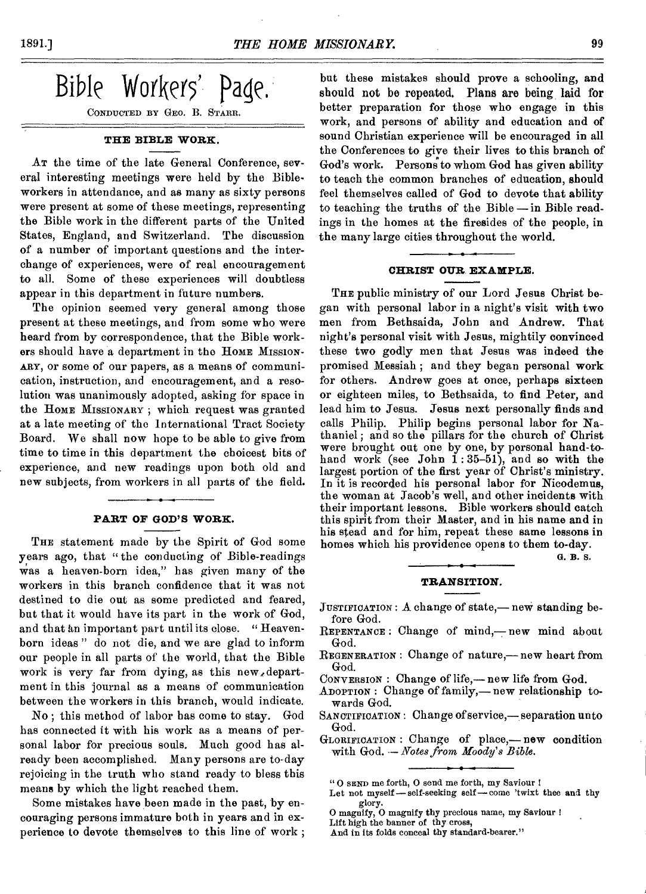

CONDUCTED BY GEO. B. STARR.

# **THE BIBLE WORK.**

AT the time of the late General Conference, several interesting meetings were held by the Bibleworkers in attendance, and as many as sixty persons were present at some of these meetings, representing the Bible work in the different parts of the United States, England, and Switzerland. The discussion of a number of important questions and the interchange of experiences, were of real encouragement to all. Some of these experiences will doubtless appear in this department in future numbers.

The opinion seemed very general among those present at these meetings, and from some who were heard from by correspondence, that the Bible workers should have a department in the HOME MISSION-ARY, or some of our papers, as a means of communication, instruction, and encouragement, and a resolution was unanimously adopted, asking for space in the HOME MISSIONARY ; which request was granted at a late meeting of the International Tract Society Board. We shall now hope to be able to give from time to time in this department the choicest bits of experience, and new readings upon both old and new subjects, from workers in all parts of the field.

### **PART OF GOD'S WORK.**

THE statement made by the Spirit of God some years ago, that "the conducting of Bible-readings was a heaven-born idea," has given many of the workers in this branch confidence that it was not destined to die out as some predicted and feared, but that it would have its part in the work of God, and that kn important part until its close. " Heavenborn ideas " do not die, and we are glad to inform our people in all parts of the world, that the Bible work is very far from dying, as this new,department in this journal as a means of communication between the workers in this branch, would indicate.

No ; this method of labor has come to stay. God has connected it with his work as a means of personal labor for precious souls. Much good has already been accomplished. Many persons are to-day rejoicing in the truth who stand ready to bless this means by which the light reached them.

Some mistakes have been made in the past, by encouraging persons immature both in years and in experience to devote themselves to this line of work ;

but these mistakes should prove a schooling, and should not be repeated. Plans are being laid for better preparation for those who engage in this work, and persons of ability and education and of sound Christian experience will be encouraged in all the Conferences to give their lives to this branch of God's work. Persons to whom God has given ability to teach the common branches of education, should feel themselves called of God to devote that ability to teaching the truths of the Bible — in Bible readings in the homes at the firesides of the people, in the many large cities throughout the world.

# **CHRIST OUR. EXAMPLE.**

THE public ministry of our Lord Jesus Christ began with personal labor in a night's visit with two men from Bethsaida, John and Andrew. That night's personal visit with Jesus, mightily convinced these two godly men that Jesus was indeed the promised Messiah ; and they began personal work for others. Andrew goes at once, perhaps sixteen or eighteen miles, to Bethsaida, to find Peter, and lead him to Jesus. Jesus next personally finds and calls Philip. Philip begins personal labor for Nathaniel ; and so the pillars for the church of Christ were brought out one by one, by personal hand-tohand work (see John  $1:35-51$ ), and so with the largest portion of the first year of Christ's ministry. In it is recorded his personal labor for Nicodemus, the woman at Jacob's well, and other incidents with their important lessons. Bible workers should catch this spirit from their Master, and in his name and in his stead and for him, repeat these same lessons in homes which his providence opens to them to-day.

G. **B. S.** 

# **TRANSITION.**

- JUSTIFICATION : A change of state,— new standing before God.
- REPENTANCE : Change of mind,—new mind about God.
- REGENERATION : Change of nature,— new heart from God.
- CONVERSION : Change of life,— new life from God.
- ADOPTION : Change of family,— new relationship towards God.
- SANCTIFICATION : Change of service,— separation unto God.
- GLORIFICATION : Change of place,— new condition with God..— *Notes from Moody's Bible.*

Let not myself — self-seeking self come 'twixt thee **and** thy glory.

<sup>&</sup>quot; 0 SEND me forth, 0 send me forth, my Saviour !

O magnify, 0 magnify thy precious name, my Saviour ! Lift high the banner of thy cross,

And in its folds conceal thy standard-bearer."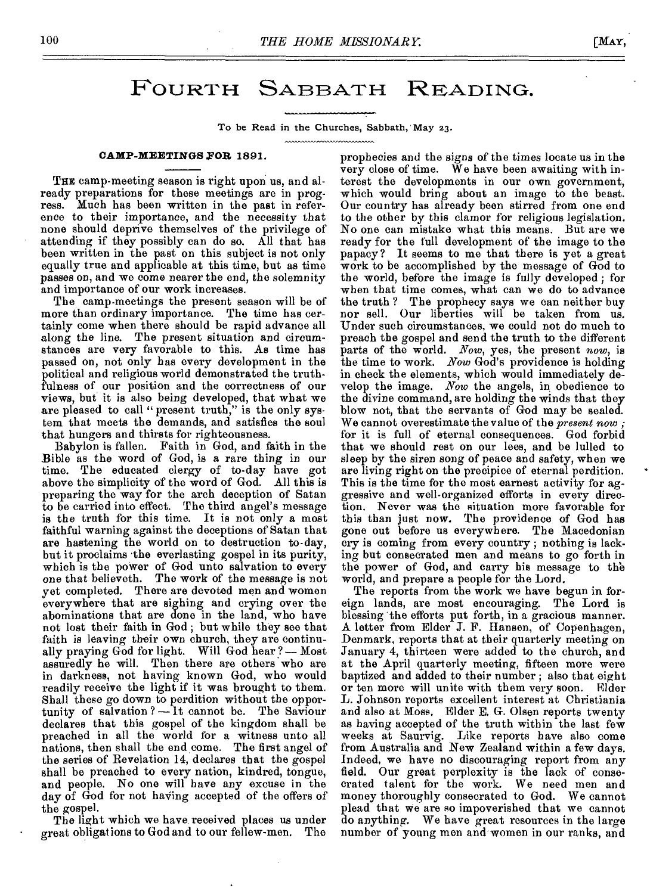# FOURTH SABBATH READING.

To be Read in the Churches, Sabbath, May 23.

### **CAMP-MEETINGS FOR 1891.**

THE camp-meeting season is right upon us, and already preparations for these meetings are in progress. Much has been written in the past in reference to their importance, and the necessity that none should deprive themselves of the privilege of attending if they possibly can do so. All that has been written in the past on this subject is not only equally true and applicable at this time, but as time passes on, and we come nearer the end, the solemnity and importance of our work increases.

The camp-meetings the present season will be of more than ordinary importance. The time has certainly come when there should be rapid advance all along the line. The present situation and circumstances are very favorable to this. As time has passed on, not only has every development in the political and religious world demonstrated the truthfulness of our position and the correctness of our views, but it is also being developed, that what we are pleased to call " present truth," is the only system that meets the demands, and satisfies the soul that hungers and thirsts for righteousness.

Babylon is fallen. Faith in God, and faith in the Bible as the word *of* God, is a rare thing in our time. The educated clergy of to-day have got above the simplicity of the word of God. All this is preparing the way for the arch deception of Satan to be carried into effect. The third angel's message is the truth for this time. It is not only a most faithful warning against the deceptions of Satan that are hastening the world on to destruction to-day, but it proclaims the everlasting gospel in its purity, which is the power of God unto salvation to every one that believeth. The work of the message is not yet completed. There are devoted men and women everywhere that are sighing and crying over the abominations that are done in the land, who have not lost their faith in God ; but while they see that faith is leaving their own church, they are continually praying God for light. Will God hear ? — Most assuredly he will. Then there are others who are in darkness, not having known God, who would readily receive the light if it was brought to them. Shall these go down to perdition without the opportunity of salvation? $\overline{-1}t$  cannot be. The Saviour declares that this gospel of the kingdom shall be preached in all the world for a witness unto all nations, then shall the end come. The first angel of the series of Revelation 14, declares that the gospel shall be preached to every nation, kindred, tongue, and people. No one will have any excuse in the day of God for not having accepted of the offers of the gospel.

The light which we have received places us under great obligat ions to God and to our fellew-men. The prophecies and the signs of the times locate us in the very close of time. We have been awaiting with interest the developments in our own government, which would bring about an image to the beast. Our country has already been stirred from one end to the other by this clamor for religious legislation. No one can mistake what this means. But are we ready for the full development of the image to the papacy? It seems to me that there is yet a great work to be accomplished by the message of God to the world, before the image is fully developed ; for when that time comes, what can we do to advance the truth ? The prophecy says we can neither buy nor sell. Our liberties will be taken from us. Under such circumstances, we could not do much to preach the gospel and send the truth to the different parts of the world. *Now,* yes, the present *now,* is the time to work. *Now* God's providence is holding in check the elements, which would immediately develop the image. *Now* the angels, in obedience to the divine command, are holding the winds that they blow not, that the servants of God may be sealed. We cannot overestimate the value of the *present now ;*  for it is full of eternal consequences. God forbid that we should rest on our lees, and be lulled to sleep by the siren song of peace and safety, when we are living right on the precipice of eternal perdition. This is the time for the most earnest activity for aggressive and well-organized efforts in every direction. Never was the situation more favorable for this than just now. The providence of God has gone out before us everywhere. The Macedonian cry is coming from every country ; nothing is lacking but consecrated men and means to go forth in the power of God, and carry his message to the world, and prepare a people for the Lord.

The reports from the work we have begun in foreign lands, are most encouraging. The Lord is blessing the efforts put forth, in a gracious manner. A letter from Elder J. F. Hansen, of Copenhagen, Denmark, reports that at their quarterly meeting on January 4, thirteen were added to the church, and at the April quarterly meeting, fifteen more were baptized and added to their number ; also that eight or ten more will unite with them very soon. L. Johnson reports excellent interest at Christiania and also at Moss. Elder E. G. Olsen reports twenty as having accepted of the truth within the last few weeks at Saurvig. Like reports have also come from Australia and New Zealand within a few days. Indeed, we have no discouraging report from any field. Our great perplexity is the lack of conse-Our great perplexity is the lack of consecrated talent for the work. We need men and money thoroughly consecrated to God. We cannot money thoroughly consecrated to God. plead that we are so impoverished that we cannot do anything. We have great resources in the large number of young men and women in our ranks, and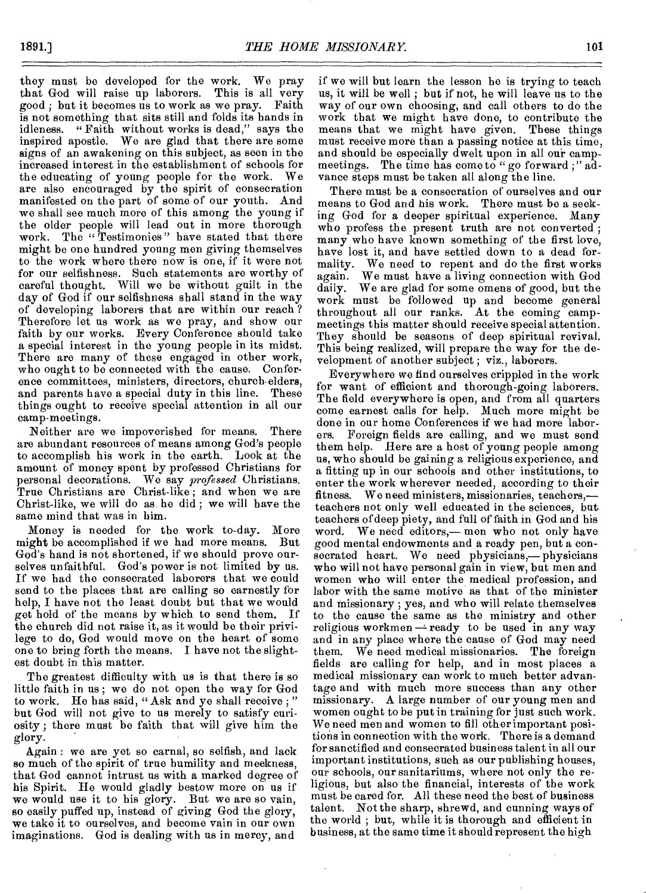they must be developed for the work. We pray<br>that God will raise up laborers. This is all very that God will raise up laborers. This is all very<br>good: but it becomes us to work as we pray. Faith good ; but it becomes us to work as we pray. is not something that sits still and folds its hands in idleness. " Faith without works is dead," says the inspired apostle. We are glad that there are some signs of an awakening on this subject, as seen in the increased interest in the establishment of schools for the educating of young people for the work. are also encouraged by the spirit of consecration manifested on the part of some of our youth. And we shall see much more of this among the young if the older people will lead out in more thorough work. The "Testimonies" have stated that there might be one hundred young men giving themselves to the work where there now is one, if it were not for our selfishness. Such statements are worthy of careful thought. Will we be without guilt in the day of God if our selfishness shall stand in the way of developing laborers that are within our reach ? Therefore let us work as we pray, and show our faith by our works. Every Conference should take a special interest in the young people in its midst. There are many of these engaged in other work, who ought to be connected with the cause. Conference committees, ministers, directors, church-elders, and parents have a special duty in this line. These things ought to receive special attention in all our camp-meetings.

Neither are we impoverished for means. There are abundant resources of means among God's people to accomplish his work in the earth. Look at the amount of money spent by professed Christians for personal decorations. We say *professed* Christians. True Christians are Christ-like ; and when we are Christ-like, we will do as he did ; we will have the same mind that was in him.

Money is needed for the work to-day. More might be accomplished if we had more means. But God's hand is not shortened, if we should prove ourselves unfaithful. God's power is not limited by us. If we had the consecrated laborers that we could send to the places that are calling so earnestly for help, I have not the least doubt but that we would get hold of the means by which to send them. If the church did not raise it, as it would be their privilege to do, God would move on the heart of some one to bring forth the means. I have not the slightest doubt in this matter.

The greatest difficulty with us is that there is so little faith in us ; we do not open the way for God to work. He has said, " Ask and ye shall receive ; " but God will not give to us merely to satisfy curiosity; there must be faith that will give him the glory.

Again : we are yet so carnal, so selfish, and lack so much of the spirit of true humility and meekness, that God cannot intrust us with a marked degree of his Spirit. He would gladly bestow more on us if we would use it to his glory. But we are so vain, so easily puffed up, instead of giving God the glory, we take it to ourselves, and become vain in our own imaginations. God is dealing with us in mercy, and

if we will but learn the lesson he is trying to teach us, it will be well ; but if not, he will leave us to the way of our own choosing, and call others to do the work that we might have done, to contribute the means that we might have given. These things must receive more than a passing notice at this time, and should be especially dwelt upon in all our campmeetings. The time has come to "go forward ;" advance steps must be taken all along the line.

There must be a consecration of ourselves and our means to God and his work. There must be a seeking God for a deeper spiritual experience. Many who profess the present truth are not converted ; many who have known something of the first love, have lost it, and have settled down to a dead formality. We need to repent and do the first works again. We must have a living connection with God daily. We are glad for some omens of good, but the work must be followed up and become general throughout all our ranks. At the coming campmeetings this matter should receive special attention. They should be seasons of deep spiritual revival. This being realized, will prepare the way for the development of another subject ; viz., laborers.

Everywhere we find ourselves crippled in the work for want of efficient and thorough-going laborers. The field everywhere is open, and from all quarters come earnest calls for help. Much more might be done in our home Conferences if we had more laborers. Foreign fields are calling, and we must send them help. Here are a host of young people among us, who should be gaining a religious experience, and a fitting up in our schools and other institutions, to enter the work wherever needed, according to their<br>fitness. We need ministers, missionaries, teachers,— We need ministers, missionaries, teachers,teachers not only well educated in the sciences, but teachers of deep piety, and full of faith in God and his word. We need editors,— men who not only have good mental endowments and a ready pen, but a consecrated heart. We need physicians,— physicians who will not have personal gain in view, but men and women who will enter the medical profession, and labor with the same motive as that of the minister and missionary ; yes, and who will relate themselves to the cause the same as the ministry and other religious workmen  $\rightarrow$  ready to be used in any way and in any place where the cause of God may need them. We need medical missionaries. The foreign fields are calling for help, and in most places a medical missionary can work to much better advantage and with much more success than any other missionary. A large number of our young men and women ought to be put in training for just such work. We need men and women to fill other important positions in connection with the work. There is a demand for sanctified and consecrated business talent in all our important institutions, such as our publishing houses, our schools, our sanitariums, where not only the religious, but also the financial, interests of the work must be eared for. All these need the best of business talent. Not the sharp, shrewd, and cunning ways of the world ; but, while it is thorough and efficient in business, at the same time it should represent the high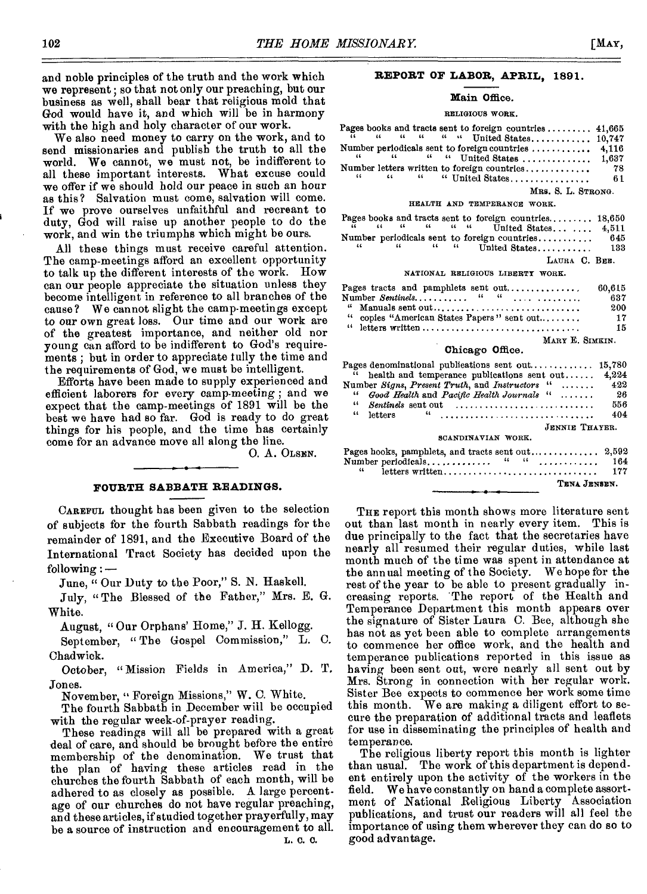and noble principles of the truth and the work which we represent ; so that not only our preaching, but our business as well, shall bear that religious mold that God would have it, and which will be in harmony with the high and holy character of our work.

We also need money to carry on the work, and to send missionaries and publish the truth to all the world. We cannot, we must not, be indifferent to all these important interests. What excuse could we offer if we should hold our peace in such an hour as this? Salvation must come, salvation will come. *If* we prove ourselves unfaithful and recreant to duty, God will raise up another people to do the work, and win the triumphs which might be ours.

All these things must receive careful attention. The camp-meetings afford an excellent opportunity to talk up the different interests of the work. How can our people appreciate the situation unless they become intelligent in reference to all branches of the cause? We cannot slight the camp-meetings except to our own great loss. Our time and our work are of the greatest importance, and neither old nor young can afford to be indifferent to God's requirements ; but in order to appreciate fully the time and the requirements of God, we must be intelligent.

Efforts have been made to supply experienced and efficient laborers for every camp-meeting ; and we expect that the camp-meetings of 1891 will be the best we have had so far. God is ready to do great things for his people, and the time has certainly come for an advance move all along the line.

0. A. OLSEN.

# **FOURTH SABBATH READINGS.**

CAREFUL thought has been given to the selection of subjects for the fourth Sabbath readings for the remainder of 1891, and the Executive Board of the International Tract Society has decided upon the following :—

June, " Our Duty to the Poor," S. N. Haskell.

July, "The Blessed of the Father," Mrs. E. G. White.

August, " Our Orphans' Home," J. H. Kellogg.

September, " The Gospel Commission," L. C. Chadwick.

October, "Mission Fields in America," D. T. Jones.

November, " Foreign Missions," W. C. White.

The fourth Sabbath in December will be occupied with the regular week-of-prayer reading.

These readings will all be prepared with a great deal of care, and should be brought before the entire membership of the denomination. We trust that the plan of having these articles read in the churches the fourth Sabbath of each month, will be adhered to as closely as possible. A large percent. age of our churches do not have regular preaching, and these articles, if studied together prayerfully, may be a source of instruction and encouragement to all. L. 0. 0.

# **REPORT OF LABOR, APRIL,** 1891.

#### Main Office.

#### RELIGIOUS WORK.

|  |  |  | Pages books and tracts sent to foreign countries $41,665$                                |  |                    |      |
|--|--|--|------------------------------------------------------------------------------------------|--|--------------------|------|
|  |  |  | ii a a a a a United States 10,747                                                        |  |                    |      |
|  |  |  | Number periodicals sent to foreign countries $\ldots \ldots \ldots$ 4,116                |  |                    |      |
|  |  |  | $\mu$ $\mu$ $\mu$ $\mu$ United States  1,687                                             |  |                    |      |
|  |  |  | Number letters written to foreign countries                                              |  |                    | - 78 |
|  |  |  | $\overline{u}$ $\overline{u}$ $\overline{u}$ $\overline{u}$ $\overline{u}$ United States |  |                    | -61  |
|  |  |  |                                                                                          |  | MRS. S. L. STRONG. |      |

#### HEALTH AND TEMPERANCE WORK.

|  |  |  | Pages books and tracts sent to foreign countries $18,650$<br>$\tilde{a}$ $\tilde{a}$ $\tilde{a}$ $\tilde{a}$ $\tilde{a}$ $\tilde{a}$ $\tilde{a}$ United States 4,511 |  |               |       |
|--|--|--|----------------------------------------------------------------------------------------------------------------------------------------------------------------------|--|---------------|-------|
|  |  |  | Number periodicals sent to foreign countries                                                                                                                         |  |               | -645  |
|  |  |  | $\mu$ $\mu$ $\mu$ $\mu$ United States                                                                                                                                |  |               | - 133 |
|  |  |  |                                                                                                                                                                      |  | LAURA C. BEE. |       |

#### NATIONAL RELIGIOUS LIBERTY WORK.

| Pages tracts and pamphlets sent out        | 60,615<br>637 |
|--------------------------------------------|---------------|
| " Manuals sent out                         | 200           |
| " copies "American States Papers" sent out | 17            |
|                                            | 15            |
| MARY E. SIMKIN.                            |               |

#### Chicago Office.

|              | Pages denominational publications sent out 15,780                     |     |
|--------------|-----------------------------------------------------------------------|-----|
|              | $\ddot{\mu}$ health and temperance publications sent out 4,224        |     |
|              | Number Signs, Present Truth, and Instructors "  422                   |     |
|              | Good Health and Pacific Health Journals $\cdots$                      | -26 |
| $\mathbf{a}$ | $Sentinels$ sent out $\ldots, \ldots, \ldots, \ldots, \ldots, \ldots$ | 556 |
| "            | letters                                                               | 404 |
|              | <b>JENNIE THAYER.</b>                                                 |     |
|              | SCANDINAVIAN WORK.                                                    |     |

| TENA JENSEN. |  |
|--------------|--|

THE report this month shows more literature sent out than last month in nearly every item. This is due principally to the fact that the secretaries have nearly all resumed their regular duties, while last month much of the time was spent in attendance at the annual meeting of the Society. We hope for the rest of the year to be able to present gradually increasing reports. 'The report of the Health and Temperance Department this month appears over the signature of Sister Laura C. Bee, although she has not as yet been able to complete arrangements to commence her office work, and the health and temperance publications reported in this issue as having been sent out, were nearly all sent out by Mrs. Strong in connection with her regular work. Sister Bee expects to commence her work some time this month. We are making a diligent effort to secure the preparation of additional tracts and leaflets for use in disseminating the principles of health and temperance.

The religious liberty report this month is lighter than usual. The work of this department is dependent entirely upon the activity of the workers in the field. We have constantly on hand a complete assortment of National Religious Liberty Association publications, and trust our readers will all feel the importance of using them wherever they can do so to good advantage.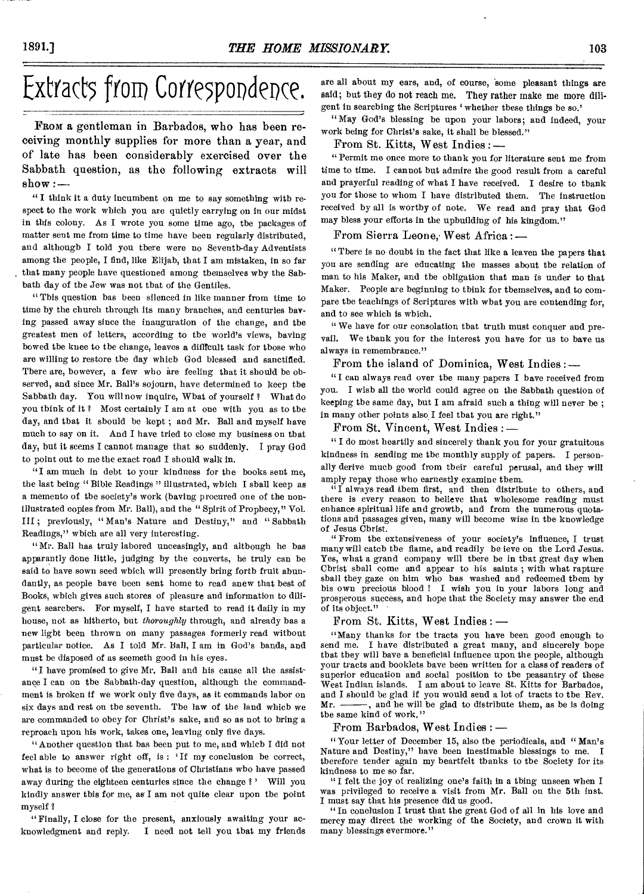# Extracts from Correspondence.

**FROM** a gentleman in Barbados, who has been receiving monthly supplies for more than a year, and of late has been considerably exercised over the Sabbath question, as the following extracts will  $\text{show}$  :  $-$ 

" **I** think it a duty incumbent on me to say something with respect to the work which you are quietly carrying on in our midst in this colony. As I wrote you some time ago, the packages of matter sent me from time to time have been regularly distributed, and although I told you there were no Seventh-day Adventists among the people, I find, like Elijah, that **I** am mistaken, in so far that many people have questioned among themselves why the Sabbath day of the Jew was not that of the Gentiles.

"This question has been silenced in like manner from time to time by the church through its many branches, and centuries having passed away since the inauguration of the change, and the greatest men of letters, according to the world's views, having bowed the knee to the change, leaves a diflfcult task for those who are willing to restore the day which God blessed and sanctified. There are, however, a few who are feeling that it should be observed, and since Mr. Ball's sojourn, have determined to keep the Sabbath day. You will now inquire, What of yourself ? What do you think of it ? Most certainly I am at one with you as to the day, and that it should be kept ; and Mr. Ball and myself have much to say on it. And I have tried to close my business on that day, but it seems I cannot manage that so suddenly. I pray God to point out to me the exact road I should walk in.

"I am much in debt to your kindness for the books sent me, the last being " Bible Readings " illustrated, which I shall keep as a memento of the society's work (having procured one of the nonillustrated copies from Mr. Ball), and the " Spirit of Prophecy," Vol. III ; previously, " Man's Nature and Destiny," and " Sabbath Readings," which are all very interesting.

"Mr. Ball has truly labored unceasingly, and although he has apparantly done little, judging by the converts, he truly can be said to have sown seed which will presently bring forth fruit abundantly, as people have been sent home to read anew that best of Books, which gives such stores of pleasure and information to diligent searchers. For myself, **I** have started to read it daily in my house, not as hitherto, but *thoroughly* through, and already has a new light been thrown on many passages formerly read without particular notice. As I told Mr. Ball, I am in God's hands, and must be disposed of as seemeth good in his eyes.

"I have promised to give Mr. Ball and his cause all the assistance I can on the Sabbath-day question, although the commandment is broken if we work only five days, as it commands labor on six days and rest on the seventh. The law of the land which we are commanded to obey for Christ's sake, and so as not to bring a reproach upon his work, takes one, leaving only five days.

"Another question that has been put to me, and which I did not feel able to answer right off, is: 'If my conclusion be correct, what is to become of the generations of Christians who have passed away during the eighteen centuries since the change ? Will you kindly answer this for me, as I am not quite clear upon the point myself ?

"Finally, I close for the present, anxiously awaiting your acknowledgment and reply. I need not tell you that my friends

are all about my ears, and, of course, 'some pleasant things are said; but they do not reach me. They rather make me more diligent in searching the Scriptures 'whether these things be so.'

"May God's blessing be upon your labors; and indeed, your work being for Christ's sake, it shall be blessed."

From St. Kitts, West Indies : —

"Permit me once more to thank you for literature sent me from time to time. I cannot but admire the good result from a careful and prayerful reading of what I have received. **I** desire to thank you for those to whom I have distributed them. The instruction received by all is worthy of note. We read and pray that God may bless your efforts in the upbuilding of his kingdom."

From Sierra Leone, West Africa :-

" There is no doubt in the fact that like a leaven the papers that you are sending are educating the masses about the relation of man to his Maker, and the obligation that man is under to that Maker. People are beginning to think for themselves, and to compare the teachings of Scriptures with what you are contending for, and to see which is which.

" We have for our consolation that truth must conquer and prevail. We thank you for the interest you have for us to have us always in remembrance."

From the island of Dominica, West Indies : —

"I can always read over the many papers **I** have received from you. I wish all the world could agree on the Sabbath question of keeping the same day, but I am afraid such a thing will never be ; in many other points also I feel that you are right."

From St. Vincent, West Indies : —

" I do most heartily and sincerely thank you for your gratuitous kindness in sending me the monthly supply of papers. I personally derive much good from their careful perusal, and they will amply repay those who earnestly examine them.

 $\sqrt[i]{I}$  always read them first, and then distribute to others, and there is every reason to believe that wholesome reading must enhance spiritual life and growth, and from the numerous quotations and passages given, many will become wise in the knowledge of Jesus Christ.

" From the extensiveness of your society's influence, I trust many will catch the flame, and readily be ieve on the Lord Jesus. Yes, what a grand company will there be in that great day when Christ shall come and appear to his saints; with what rapture shall they gaze on him who has washed and redeemed them by his own precious blood ! I wish you in your labors long and prosperous success, and hope that the Society may answer the end of its object."

# From St. Kitts, West Indies : —

"Many thanks for the tracts you have been good enough to send me. I have distributed a great many, and sincerely hope that they will have a beneficial influence upon the people, although your tracts and booklets have been written for a class of readers of superior education and social position to the peasantry of these West Indian islands. **I** am about to leave St. Kitts for Barbados, and I should be glad if you would send a lot of tracts to the Rev. Mr. - and he will be glad to distribute them, as be is doing the same kind of work."

From Barbados, West Indies : —

"Your letter of December 15, also the periodicals, and "Man's Nature and Destiny," have been inestimable blessings to me. therefore tender again my heartfelt thanks to the Society for its kindness to me so far.

"I felt the joy of realizing one's faith in a thing unseen when **I**  was privileged to receive a visit from Mr. Ball on the 5th inst. I must say that his presence did us good.

"In conclusion I trust that the great God of all in his love and mercy may direct the working of the Society, and crown it with many blessings evermore."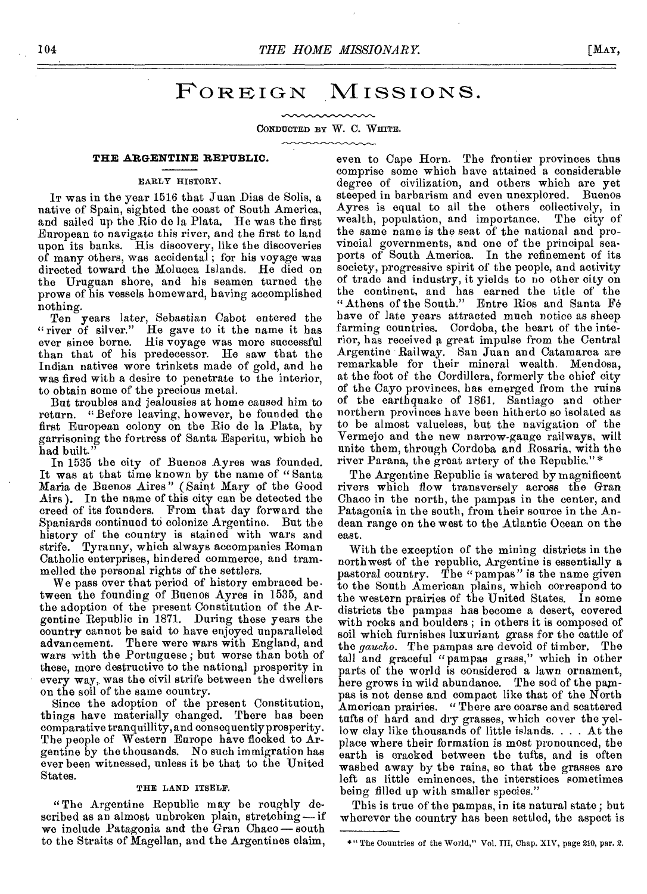# FOREIGN MISSIONS.

CONDUCTED BY W. C. WHITE.

#### **THE ARGENTINE REPUBLIC.**

#### EARLY HISTORY,

IT was in the year 1516 that Juan Dias de Solis, a native of Spain, sighted the coast of South America, and sailed up the Rio de la Plata. He was the first European to navigate this river, and the first to land upon its banks. His discovery, like the discoveries of many others, was accidental ; for his voyage was directed toward the Molucca Islands. He died on the Uruguan shore, and his seamen turned the prows of his vessels homeward, having accomplished nothing.

Ten years later, Sebastian Cabot entered the "river of silver." He gave to it the name it has He gave to it the name it has ever since borne. His voyage was more successful than that of his predecessor. He saw that the Indian natives wore trinkets made of gold, and he was fired with a desire to penetrate to the interior, to obtain some of the precious metal.

But troubles and jealousies at home caused him to return. "Before leaving, however, he founded the first European colony on the Rio de la Plata, by garrisoning the fortress of Santa Esperitu, which he had built."

In 1535 the city of Buenos Ayres was founded. It was at that time known by the name of "Santa Maria de Buenos Aires " (Saint Mary of the Good Airs ). In the name of this city can be detected the creed of its founders. From that day forward the Spaniards continued to colonize Argentine. But the history of the country is stained with wars and strife. Tyranny, which always accompanies Roman Catholic enterprises, hindered commerce, and trammelled the personal rights of the settlers.

We pass over that period of history embraced be• tween the founding of Buenos Ayres in 1535, and the adoption of the present Constitution of the Argentine Republic in 1871. During these years the country cannot be said to have enjoyed unparalleled advancement. There were wars with England, and wars with the Portuguese ; but worse than both of these, more destructive to the national prosperity in every way, was the civil strife between the dwellers on the soil of the same country.

Since the adoption of the present Constitution, things have materially changed. There has been comparative tranquillity, and consequently prosperity. The people of Western Europe have flocked to Argentine by the thousands. No such immigration has ever been witnessed, unless it be that to the United States.

### THE LAND ITSELF.

"The Argentine Republic may be roughly described as an almost unbroken plain, stretching— if we include Patagonia and the Gran Chaco— south to the Straits of Magellan, and the Argentines claim,

even to Cape Horn. The frontier provinces thus comprise some which have attained a considerable degree of civilization, and others which are yet steeped in barbarism and even unexplored. Buenos Ayres is equal to all the others collectively, in wealth, population, and importance. The city of the same name is the seat of the national and provincial governments, and one of the principal seaports of South America. In the refinement of its society, progressive spirit of the people, and activity of trade and industry, it yields to no other city on the continent, and has earned the title of the "Athens of the South." Entre Rios and Santa Fe have of late years attracted much notice as sheep farming countries. Cordoba, the heart of the interior, has received a great impulse from the Central Argentine Railway. San Juan and Catamarca are remarkable for their mineral wealth. Mendosa, at the foot of the Cordillera, formerly the chief city of the Cayo provinces, has emerged from the ruins of the earthquake of 1861. Santiago and other northern provinces have been hitherto so isolated as to be almost valueless, but the navigation of the Vermejo and the new narrow-gauge railways, will unite them, through Cordoba and Rosaria, with the river Parana, the great artery of the Republic."\*

The Argentine Republic is watered by magnificent rivers which flow transversely across the *Gran*  Chaco in the north, the pampas in the center, and Patagonia in the south, from their source in the Andean range on the west to the Atlantic Ocean on the east.

With the exception of the mining districts in the northwest of the republic, Argentine is essentially a pastoral country. The "pampas" is the name given to the South American plains, which correspond to the western prairies of the United States. In some districts the pampas has become a desert, covered with rocks and boulders ; in others it is composed of soil which furnishes luxuriant grass for the cattle of the *gaucho.* The pampas are devoid of timber. The tall and graceful "pampas grass," which in other parts of the world is considered a lawn ornament, here grows in wild abundance. The sod of the pampas is not dense and compact like that of the North<br>American prairies. "There are coarse and scattered " There are coarse and scattered tufts of hard and dry grasses, which cover the yellow clay like thousands of little islands. . . . At the place where their formation is most pronounced, the earth is cracked between the tufts, and is often washed away by the rains, so that the grasses are left as little eminences, the interstices sometimes being filled up with smaller species."

This is true of the pampas, in its natural state ; but wherever the country has been settled, the aspect is

<sup>\*&</sup>quot;The Countries of the World," Vol. HI, Chap. XIV, page 210, par. 2.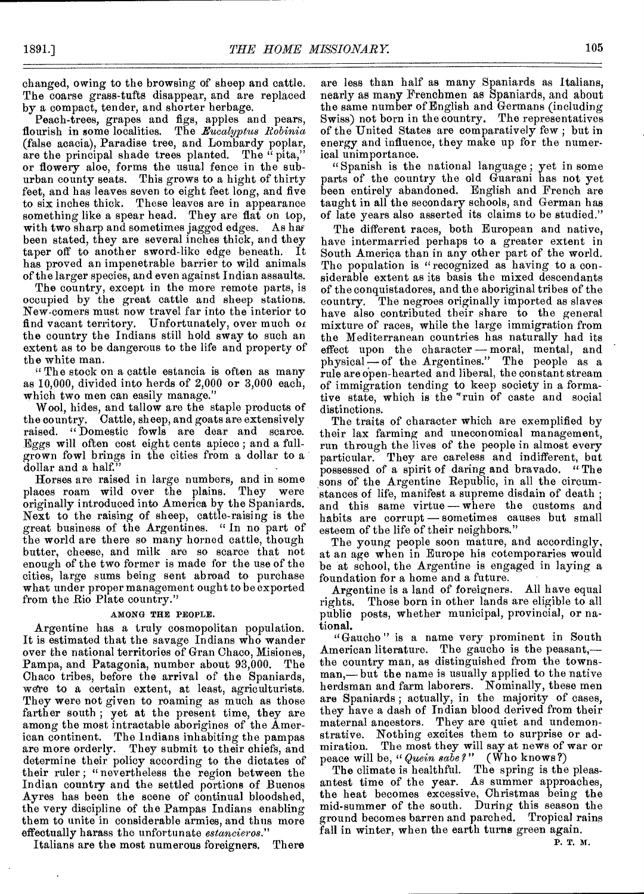changed, owing to the browsing of sheep and cattle. The coarse grass-tufts disappear, and are replaced by a compact, tender, and shorter herbage.

Peach-trees, grapes and figs, apples and pears, flourish in some localities. The *Eucalyptus Robinia* (false acacia), Paradise tree, and Lombardy poplar, are the principal shade trees planted. The "pita," or flowery aloe, forms the usual fence in the suburban county seats. This grows to a hight of thirty feet, and has leaves seven to eight feet long, and five to six inches thick. These leaves are in appearance something like a spear head. They are flat on top, with two sharp and sometimes jagged edges. As has been stated, they are several inches thick, and they taper off to another sword-like edge beneath. It has proved an impenetrable barrier to wild animals of the larger species, and even against Indian assaults.

The country, except in the more remote parts, is occupied by the great cattle and sheep stations. New-comers must now travel far into the interior to find vacant territory. Unfortunately, over much of the country the Indians still hold sway to such an extent as to be dangerous to the life and property of the white man.

" The stock on a cattle estancia is often as many as 10,000, divided into herds of 2,000 or 3,000 each, which two men can easily manage."

Wool, hides, and tallow are the staple products of the country. Cattle, sheep, and goats are extensively raised. " Domestic fowls are dear and scarce. Eggs will often cost eight cents apiece ; and a fullgrown fowl brings in the cities from a dollar to a dollar and a half."

Horses are raised in large numbers, and in some places roam wild over the plains. They were originally introduced into America by the Spaniards. Next to the raising of sheep, cattle-raising is the great business of the Argentines. " In no part of the world are there so many horned cattle, though butter, cheese, and milk are so scarce that not enough of the two former is made for the use of the cities, large sums being sent abroad to purchase what under proper management ought to be exported from the Rio Plate country."

# AMONG THE PEOPLE.

Argentine has a truly cosmopolitan population. It is estimated that the savage Indians who wander over the national territories of Gran Chaco, Misiones, Pampa, and Patagonia, number about 93,000. The Chaco tribes, before the arrival of the Spaniards, we're to a certain extent, at least, agriculturists. They were not given to roaming as much as those farther south ; yet at the present time, they are among the most intractable aborigines of the American continent. The Indians inhabiting the pampas are more orderly. They submit to their chiefs, and determine their policy according to the dictates of their ruler; "nevertheless the region between the Indian country and the settled portions of Buenos Ayres has been the scene of continual bloodshed, the very discipline of the Pampas Indians enabling them to unite in considerable armies, and thus more effectually harass the unfortunate *estancieros."* 

Italians are the most numerous foreigners. There

are less than half as many Spaniards as Italians, nearly as many Frenchmen as Spaniards, and about the same number of English and Germans (including Swiss) not born in the country. The representatives of the United States are comparatively few ; but in energy and influence, they make up for the numerical unimportance.

" Spanish is the national language ; yet in some parts of the country the old Guarani has not yet been entirely abandoned. English and French are taught in all the secondary schools, and German has of late years also asserted its claims to be studied."

The different races, both European and native, have intermarried perhaps to a greater extent in South America than in any other part of the world. The population is "recognized as having to a considerable extent as its basis the mixed descendants of the conquistadores, and the aboriginal tribes of the country. The negroes originally imported as slaves have also contributed their share to the general mixture of races, while the large immigration from the Mediterranean countries has naturally had its effect upon the character — moral, mental, and physical — of the Argentines." The people as a rule are open-hearted and liberal, the constant stream of immigration tending to keep society in a formative state, which is the "ruin of caste and social distinctions.

The traits of character which are exemplified by their lax farming and uneconomical management, run through the lives of the people in almost every particular. They are careless and indifferent, but possessed of a spirit of daring and bravado. " The sons of the Argentine Republic, in all the circumstances of life, manifest a supreme disdain of death ; and this same virtue—where the customs and habits are corrupt — sometimes causes but small esteem of the life of their neighbors."

The young people soon mature, and accordingly, at an age when in Europe his cotemporaries would be at school, the Argentine is engaged in laying a foundation for a home and a future.

Argentine is a land of foreigners. All have equal rights. Those born in other lands are eligible to all public posts, whether municipal, provincial, or national.

"Gaucho" is a name very prominent in South American literature. The gaucho is the peasant, the country man, as distinguished from the townsman,— but the name is usually applied to the native herdsman and farm laborers. Nominally, these men are Spaniards ; actually, in the majority of cases, they have a dash of Indian blood derived from their maternal ancestors. They are quiet and undemonstrative. Nothing excites them to surprise or admiration. The most they will say at news of war or peace will be, *"Quein sabe?"* (Who knows ?)

The climate is healthful. The spring is the pleasantest time of the year. As summer approaches, the heat becomes excessive, Christmas being the mid-summer of the south. During this season the ground becomes barren and parched. Tropical rains fall in winter, when the earth turns green again.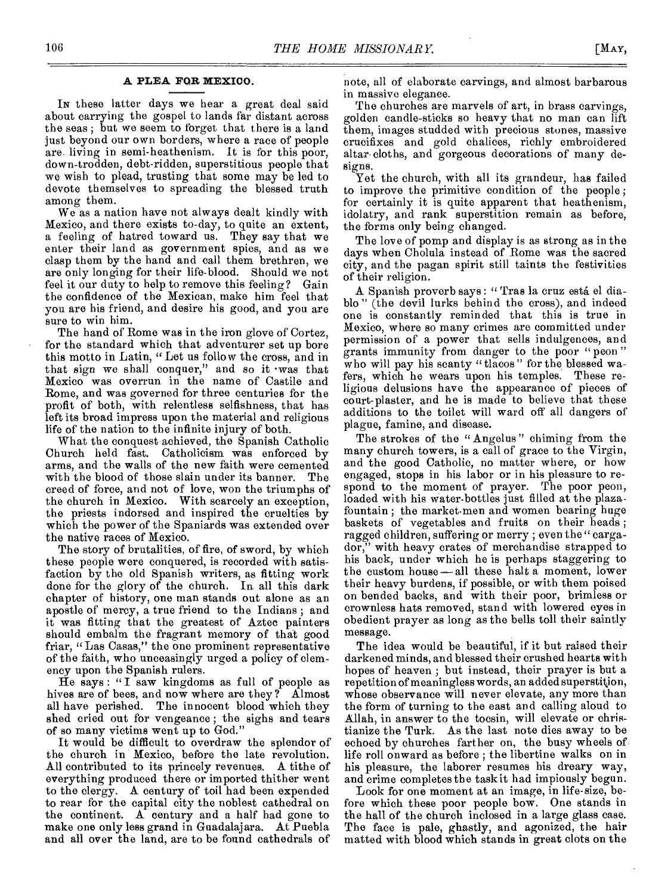# **A PLEA FOR MEXICO.**

IN these latter days we hear a great deal said about carrying the gospel to lands far distant across the seas ; but we seem to forget that there is a land just beyond our own borders, where a race of people are living in semi-heathenism. It is for this poor, down-trodden, debt-ridden, superstitious people that we wish to plead, trusting that some may be led to devote themselves to spreading the blessed truth among them.

We as a nation have not always dealt kindly with Mexico, and there exists to-day, to quite an extent, a feeling of hatred toward us. They say that we enter their land as government spies, and as we clasp them by the hand and call them brethren, we are only longing for their life-blood. Should we not feel it our duty to help to remove this feeling? Gain the confidence of the Mexican, make him feel that you are his friend, and desire his good, and you are sure to win him.

The hand of Rome was in the iron glove of Cortez, for the standard which that adventurer set up bore this motto in Latin, "Let us follow the cross, and in that sign we shall conquer," and so it •was that Mexico was overrun in the name of Castile and Rome, and was governed for three centuries for the profit of both, with relentless selfishness, that has left its broad impress upon the material and religious life of the nation to the infinite injury of both.

What the conquest achieved, the Spanish Catholic Church held fast. Catholicism was enforced by arms, and the walls of the new faith were cemented with the blood of those slain under its banner. The creed of force, and not of love, won the triumphs of the church in Mexico. With scarcely an exception, the priests indorsed and inspired the cruelties by which the power of the Spaniards was extended over the native races of Mexico.

The story of brutalities, of fire, of sword, by which these people were conquered, is recorded with satisfaction by the old Spanish writers, as fitting work done for the glory of the church. In all this dark chapter of history, one man stands out alone as an apostle of mercy, a true friend to the Indians ; and it was fitting that the greatest of Aztec painters should embalm the fragrant memory of that good friar, "Las Casas," the one prominent representative of the faith, who unceasingly urged a policy of clemency upon the Spanish rulers.

He says : " I saw kingdoms as full of people as hives are of bees, and now where are they ? Almost all have perished. The innocent blood which they shed cried out for vengeance ; the sighs and tears of so many victims went up to God."

It would be difficult to overdraw the splendor of the church in Mexico, before the late revolution. All contributed to its princely revenues. A tithe of everything produced there or imported thither went to the clergy. A century of toil had been expended to rear for the capital city the noblest cathedral on the continent. A century and a half had gone to make one only less grand in Guadalajara. At Puebla and all over the land, are to be found cathedrals of

note, all of elaborate carvings, and almost barbarous in massive elegance.

The churches are marvels of art, in brass carvings, golden candle-sticks so heavy that no man can lift them, images studded with precious stones, massive crucifixes and gold chalices, richly embroidered altar cloths, and gorgeous decorations of many designs.

Yet the church, with all its grandeur, has failed to improve the primitive condition of the people ; for certainly it is quite apparent that heathenism, idolatry, and rank superstition remain as before, the forms only being changed.

The love of pomp and display is as strong as in the days when Cholula instead of Rome was the sacred city, and the pagan spirit still taints the festivities of their religion.

A Spanish proverb says : " Tras la cruz esta el diablo " (the devil lurks behind the cross), and indeed one is constantly reminded that this is true in Mexico, where so many crimes are committed under permission of a power that sells indulgences, and grants immunity from danger to the poor " peon " who will pay his scanty "tlacos" for the blessed wafers, which he wears upon his temples. These religious delusions have the appearance of pieces of court-plaster, and he is made to believe that these additions to the toilet will ward off all dangers of plague, famine, and disease.

The strokes of the "Angelus" chiming from the many church towers, is a call of grace to the Virgin, and the good Catholic, no matter where, or how engaged, stops in his labor or in his pleasure to respond to the moment of prayer. The poor peon, loaded with his water-bottles just filled at the plazafountain ; the market-men and women bearing huge baskets of vegetables and fruits on their heads ; ragged children, suffering or merry ; even the " cargador," with heavy crates of merchandise strapped to his back, under which he is perhaps staggering to the custom house — all these halt a moment, lower their heavy burdens, if possible, or with them poised on bended backs, and with their poor, brimless or crownless hats removed, stand with lowered eyes in obedient prayer as long as the bells toll their saintly message.

The idea would be beautiful, if it but raised their darkened minds, and blessed their crushed hearts with hopes of heaven ; but instead, their prayer is but a repetition of meaningless words, an added superstition, whose observance will never elevate, any more than the form of turning to the east and calling aloud to Allah, in answer to the tocsin, will elevate or christianize the Turk. As the last note dies away to be echoed by churches farther on, the busy wheels of life roll onward as before ; the libertine walks on in his pleasure, the laborer resumes his dreary way, and crime completes the task it had impiously begun.

Look for one moment at an image, in life-size, before which these poor people bow. One stands in the hall of the church inclosed in a large glass case. The face is pale, ghastly, and agonized, the hair matted with blood which stands in great clots on the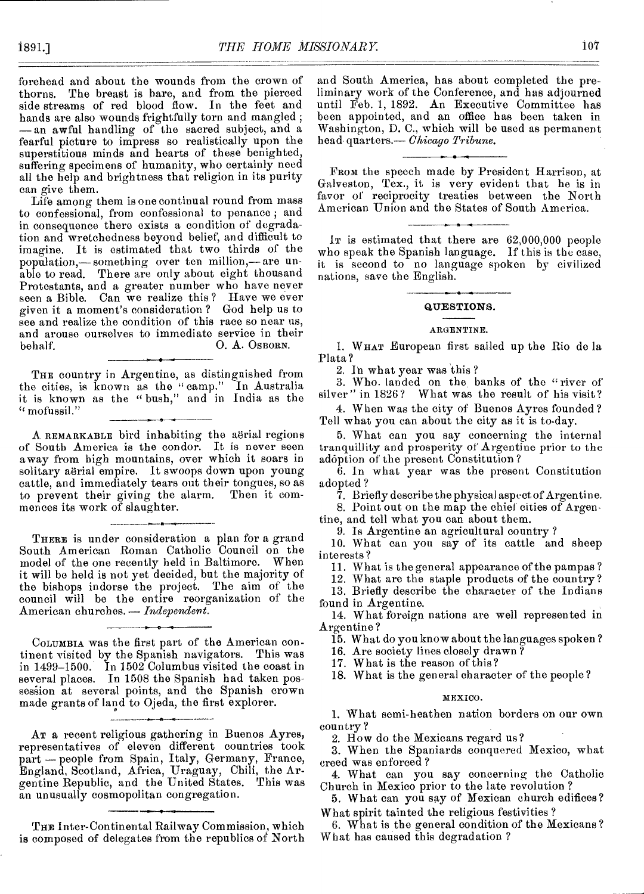forehead and about the wounds from the crown of thorns. The breast is bare, and from the pierced side streams of red blood flow. In the feet and hands are also wounds frightfully torn and mangled ; —an awful handling of the sacred subject, and a fearful picture to impress so realistically upon the superstitious minds and hearts of these benighted, suffering specimens of humanity, who certainly need all the help and brightness that religion in its purity can give them.

Life among them is one continual round from mass to confessional, from confessional to penance ; and in consequence there exists a condition of degradation and wretchedness beyond belief, and difficult to imagine. It is estimated that two thirds of the population,— something over ten million,— are unable to read. There are only about eight thousand Protestants, and a greater number who have never seen a Bible. Can we realize this ? Have we ever given it a moment's consideration ? God help us to see and realize the condition of this race so near us, and arouse ourselves to immediate service in their behalf. C. A. Osborn.

THE country in Argentine, as distinguished from the cities, is known as the " camp." In Australia it is known as the " bush," and in India as the " mofussil."

A REMARKABLE bird inhabiting the aerial regions of South America is the condor. It is never seen away from high mountains, over which it soars in solitary aërial empire. It swoops down upon young cattle, and immediately tears out their tongues, so as to prevent their giving the alarm. mences its work of slaughter.

THERE is under consideration a plan for a grand South American Roman Catholic Council on the model of the one recently held in Baltimore. When it will be held is not yet decided, but the majority of the bishops indorse the project. The aim of the council will be the entire reorganization of the American churches. *Independent.* 

COLUMBIA was the first part of the American continent visited by the Spanish navigators. This was in 1499-1500. In 1502 Columbus visited the coast in several places. In 1508 the Spanish had taken possession at several points, and the Spanish crown made grants of land to Ojeda, the first explorer.

AT a recent religious gathering in Buenos Ayres, representatives of eleven different countries took part — people from Spain, Italy, Germany, France, England, Scotland, Africa, Uraguay, Chili, the Argentine Republic, and the United States. This was an unusually cosmopolitan congregation.

THE Inter-Continental Railway Commission, which is composed of delegates from the republics of North and South America, has about completed the preliminary work of the Conference, and has adjourned until Feb. 1, 1892. An Executive Committee has been appointed, and an office has been taken in Washington, D. C., which will be used as permanent head quarters.— *Chicago Tribune.* 

From the speech made by President Harrison, at Galveston, Tex., it is very evident that he is in favor of reciprocity treaties between the North American Union and the States of South America.

IT is estimated that there are 62,000,000 people who speak the Spanish language. If this is the case, it is second to no language spoken by civilized nations, save the English.

# **QUESTIONS.**

# ARGENTINE.

1. WHAT European first sailed up the Rio de la Plata?

2. In what year was this ?

3. Who. landed on the banks of the "river of silver" in 1826? What was the result of his visit? What was the result of his visit?

4. When *was* the city of Buenos Ayres founded ? Tell what you can about the city as it is to-day.

5. What can you say concerning the internal tranquillity and prosperity of Argentine prior to the adoption of the present Constitution ?

6. In what year was the present Constitution adopted?

7. Briefly describe the physical aspect of Argentine.

8. Point out on the map the chief cities of Argentine, and tell what you can about them.

9. Is Argentine an agricultural country ?

10. What can you say of its cattle and sheep interests ?

11. What is the general appearance of the pampas ?

12. What are the staple products of the country?

13. Briefly describe the character of the Indians

found in Argentine.

14. What foreign nations are well represented in Argentine ?

15. What do you know about the languages spoken ?

16. Are society lines closely drawn ?

17. What is the reason of this?

18. What is the general character of the people?

### MEXICO.

1. What semi-heathen nation borders on our own country?

2. How do the Mexicans regard us?

3. When the Spaniards conquered Mexico, what creed was enforced ?

4. What can you say concerning the Catholic Church in Mexico prior to the late revolution ?

5. What can you say of Mexican church edifices? What spirit tainted the religious festivities ?

6. What is the general condition of the Mexicans? What has caused this degradation ?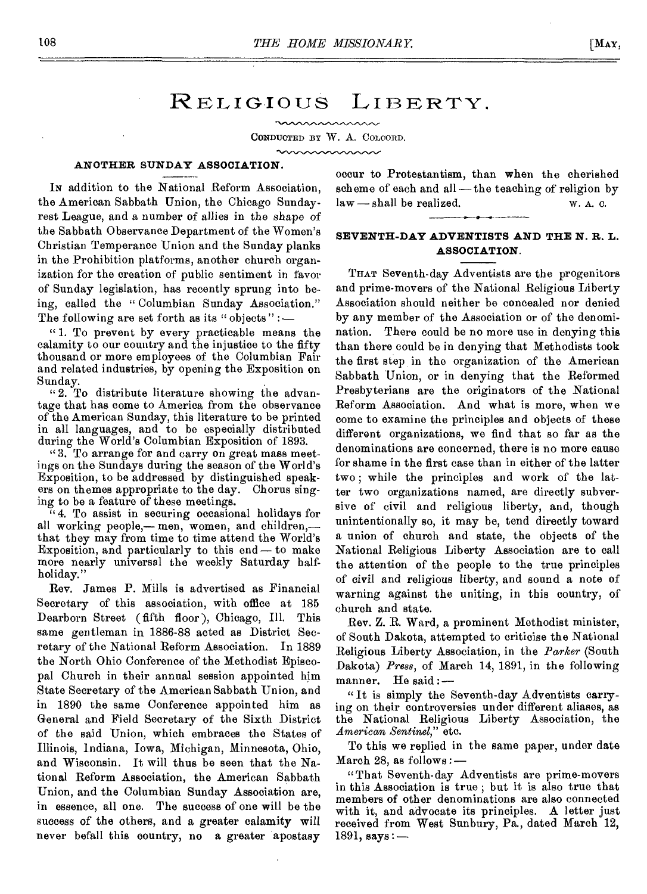# RELIGIOUS LIBERTY.

maaaaaaaaaaa

CONDUCTED BY W. A. COLOORD. mmmmm

# **ANOTHER SUNDAY ASSOCIATION.**

IN addition to the National Reform Association, the American Sabbath Union, the Chicago Sundayrest League, and a number of allies in the shape of the Sabbath Observance Department of the Women's Christian Temperance Union and the Sunday planks in the Prohibition platforms, another church organization for the creation of public sentiment in favor of Sunday legislation, has recently sprung into being, called the " Columbian Sunday Association." The following are set forth as its " objects" :  $-$ 

" 1. To prevent by every practicable means the calamity to our country and the injustice to the fifty thousand or more employees of the Columbian Fair and related industries, by opening the Exposition on Sunday.

" 2. To distribute literature showing the advantage that has come to America from the observance of the American Sunday, this literature to be printed in all languages, and to be especially distributed during the World's Columbian Exposition of 1893.

"3. To arrange for and carry on great mass meetings on the Sundays during the season of the World's Exposition, to be addressed by distinguished speakers on themes appropriate to the day. Chorus singing to be a feature of these meetings.

" 4. To assist in securing occasional holidays for all working people,— men, women, and children, that they may from time to time attend the World's Exposition, and particularly to this end — to make more nearly universal the weekly Saturday halfholiday."

Rev. James P. Mills is advertised as Financial Secretary of this association, with office at 185 Dearborn Street (fifth floor ), Chicago, Ill. This same gentleman in 1886-88 acted as District Secretary of the National Reform Association. In 1889 the North Ohio Conference of the Methodist Episcopal Church in their annual session appointed him State Secretary of the American Sabbath Union, and in 1890 the same Conference appointed him as General and Field Secretary of the Sixth District of the said Union, which embraces the States of Illinois, Indiana, Iowa, Michigan, Minnesota, Ohio, and Wisconsin. It will thus be seen that the National Reform Association, the American Sabbath Union, and the Columbian Sunday Association are, in essence, all one. The success of one will be the success of the others, and a greater calamity will never befall this country, no a greater apostasy

occur to Protestantism, than when the cherished scheme of each and all—the teaching of religion by  $law$ —shall be realized. W. A. C.

# **SEVENTH-DAY ADVENTISTS AND THE N. R. L. ASSOCIATION.**

THAT Seventh-day Adventists are the progenitors and prime-movers of the National Religious Liberty Association should neither be concealed nor denied by any member of the Association or of the denomination. There could be no more use in denying this than there could be in denying that Methodists took the first step in the organization of the American Sabbath Union, or in denying that the Reformed Presbyterians are the originators of the National Reform Association. And what is more, when we come to examine the principles and objects of these different organizations, we find that so far as the denominations are concerned, there is no more cause for shame in the first case than in either of the latter two ; while the principles and work of the latter two organizations named, are directly subversive of civil and religious liberty, and, though unintentionally so, it may be, tend directly toward a union of church and state, the objects of the National Religious Liberty Association are to call the attention of the people to the true principles of civil and religious liberty, and sound a note of warning against the uniting, in this country, of church and state.

Rev. Z. R. Ward, a prominent Methodist minister, of South Dakota, attempted to criticise the National Religious Liberty Association, in the *Parker* (South Dakota) *Press,* of March 14, 1891, in the following manner. He said :—

" It is simply the Seventh-day Adventists carrying on their controversies under different aliases, as the National Religious Liberty Association, the *American Sentinel,"* etc.

To this we replied in the same paper, under date March 28, as follows : —

"That Seventh-day Adventists are prime-movers in this Association is true ; but it is also true that members of other denominations are also connected with it, and advocate its principles. A letter just received from West Sunbury, Pa., dated March 12, 1891, says:—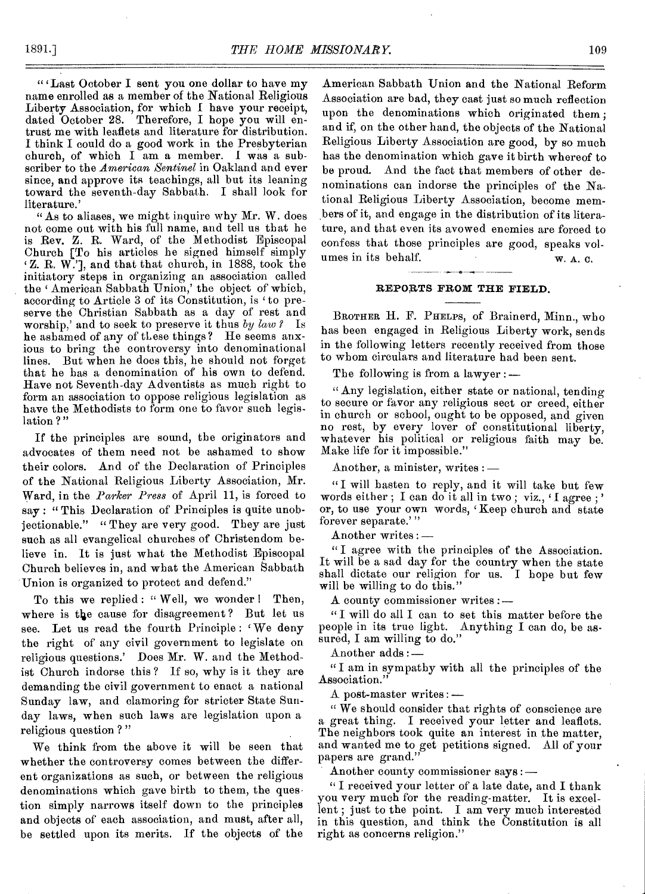"'Last October I sent you one dollar to have my name enrolled as a member of the National Religious Liberty Association, for which I have your receipt, dated October 28. Therefore, I hope you will entrust me with leaflets and literature for distribution. I think I could do a good work in the Presbyterian church, of which I am a member. I was a subscriber to the *American Sentinel* in Oakland and ever since, and approve its teachings, all but its leaning toward the seventh-day Sabbath. I shall look for literature.'

"As to aliases, we might inquire why Mr. W. does not come out with his full name, and tell us that he is Rev. Z. R. Ward, of the Methodist Episcopal Church [To his articles he signed himself simply Z. R. W.'], and that that church, in 1888, took the initiatory steps in organizing an association called the 'American Sabbath Union,' the object of which, according to Article 3 of its Constitution, is 'to preserve the Christian Sabbath as a day of rest and worship,' and to seek to preserve it thus *by law ?* Is he ashamed of any of these things? He seems anxious to bring the controversy into denominational lines. But when he does this, he should not forget that he has a denomination of his own to defend. Have not Seventh-day Adventists as much right to form an association to oppose religious legislation as have the Methodists to form one to favor such legislation ?"

If the principles are sound, the originators and advocates of them need not be ashamed to show their colors. And of the Declaration of Principles of the National Religious Liberty Association, Mr. Ward, in the *Parker Press* of April 11, is forced to  $s_{\alpha}$ : "This Declaration of Principles is quite unobjectionable." "They are very good. They are just such as all evangelical churches of Christendom believe in. It is just what the Methodist Episcopal Church believes in, and what the American Sabbath Union is organized to protect and defend."

To this we replied: "Well, we wonder! Then, where is the cause for disagreement ? But let us see. Let us read the fourth Principle : 'We deny the right of any civil government to legislate on religious questions.' Does Mr. W. and the Methodist Church indorse this ? If so, why is it they are demanding the civil government to enact a national Sunday law, and clamoring for stricter State Sunday laws, when such laws are legislation upon a religious question ? "

We think from the above it will be seen that whether the controversy comes between the different organizations as such, or between the religious denominations which gave birth to them, the question simply narrows itself down to the principles and objects of each association, and must, after all, be settled upon its merits. If the objects of the

American Sabbath Union and the National Reform Association are bad, they cast just so much reflection upon the denominations which originated them; and if, on the other hand, the objects of the National Religious Liberty Association are good, by so much has the denomination which gave it birth whereof to be proud. And the fact that members of other denominations can indorse the principles of the National Religious Liberty Association, become members of it, and engage in the distribution of its literature, and that even its avowed enemies are forced to confess that those principles are good, speaks volumes in its behalf. W. A. C.

# **REPORTS FROM THE FIELD.**

BROTHER H. F. PHELPS, of Brainerd, Minn., who has been engaged in Religious Liberty work, sends in the following letters recently received from those to whom circulars and literature had been sent.

The following is from a lawyer : —

" Any legislation, either state or national, tending to secure or favor any religious sect or creed, either in church or school, ought to be opposed, and given no rest, by every lover of constitutional liberty, whatever his political or religious faith may be. Make life for it impossible."

Another, a minister, writes : —

"I will hasten to reply, and it will take but few words either; I can do it all in two; viz.,  $\ell$ I agree;' or, to use your own words, 'Keep church and state forever separate.'"

Another writes : —

" I agree with the principles of the Association. It will be a sad day for the country when the state shall dictate our religion for us. I hope but few will be willing to do this."

A county commissioner writes :—

"I will do all I can to set this matter before the people in its true light. Anything I can do, be assured, I am willing to do."

Another adds :—

" I am in sympathy with all the principles of the Association."

A post-master writes : —

" We should consider that rights of conscience are a great thing. I received your letter and leaflets. The neighbors took quite an interest in the matter, and wanted me to get petitions signed. All of your papers are grand."

Another county commissioner says : —

" I received your letter of a late date, and I thank you very much for the reading-matter. It is excellent; just to the point. I am very much interested in this question, and think the Constitution is all right as concerns religion."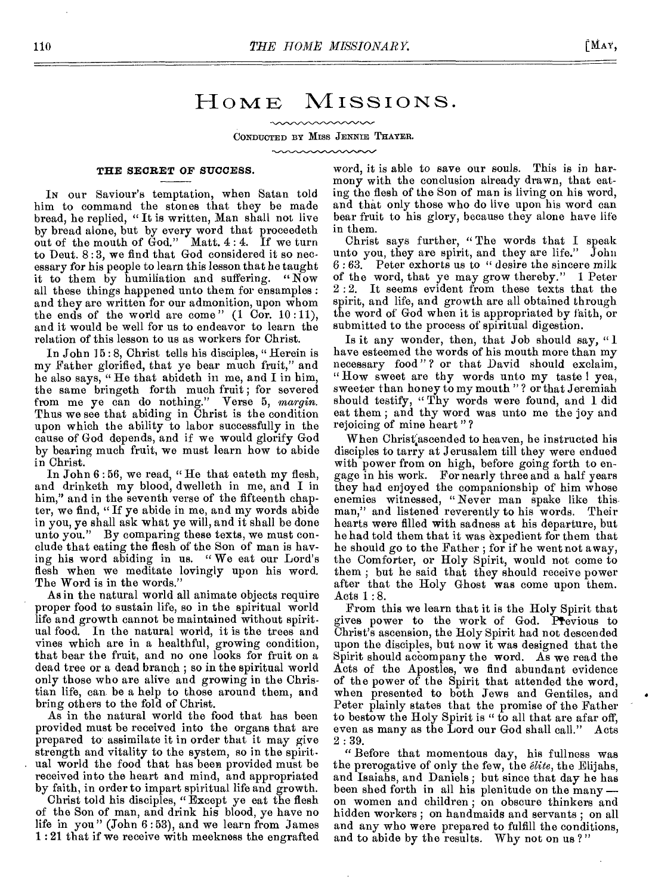# HOME MISSIONS.

CONDUCTED BY Miss JENNIE THAYER.

mannannan

### THE SECRET OF SUCCESS.

IN our Saviour's temptation, when Satan told him to command the stones that they be made bread, he replied, " It is written, Man shall not live by bread alone, but by every word that proceedeth out of the mouth of  $\text{God."}$  Matt. 4:4. If we turn to Deut. 8 : 3, we find that God considered it so necessary for his people to learn this lesson that he taught it to them by humiliation and suffering. "Now all these things happened unto them for ensamples : and they are written for our admonition, upon whom the ends of the world are come"  $(1 \text{ Cor. } 10:11)$ , and it would be well for us to endeavor to learn the relation of this lesson to us as workers for Christ.

In John 15:8, Christ tells his disciples, "Herein is my Father glorified, that ye bear much fruit," and he also says, " He that abideth in me, and I in him, the same bringeth forth much fruit ; for severed from me ye can do nothing." Verse 5, *margin.*  Thus we see that abiding in Christ is the condition upon which the ability to labor successfully in the cause of God depends, and if we would glorify God by bearing much fruit, we must learn how to abide in Christ.

In John 6:56, we read, "He that eateth my flesh, and drinketh my blood, dwelleth in me, and I in him," and in the seventh verse of the fifteenth chapter, we find, "If ye abide in me, and my words abide in you, ye shall ask what ye will, and it shall be done unto you." *By* comparing these texts, we must conclude that eating the flesh of the Son of man is having his word abiding in us. " We eat our Lord's flesh when we meditate lovingly upon his word. The Word is in the words."

As in the natural world all animate objects require proper food to sustain life, so in the spiritual world life and growth cannot be maintained without spiritual food. In the natural world, it is the trees and vines which are in a healthful, growing condition, that bear the fruit, and no one looks for fruit on a dead tree or a dead branch ; so in the spiritual world only those who are alive and growing in the Christian life, can be a help to those around them, and bring others to the fold of Christ.

As in the natural world the food that has been provided must be received into the organs that are prepared to assimilate it in order that it may give strength and vitality to the system, so in the spiritual world the food that has been provided must be received into the heart and mind, and appropriated by faith, in order to impart spiritual life and growth.

Christ told his disciples, "Except ye eat the flesh of the Son of man, and drink his blood, ye have no life in you" (John 6 : 53), and we learn from James 1 : 21 that if we receive with meekness the engrafted word, it is able to save our souls. This is in harmony with the conclusion already drawn, that eating the flesh of the Son of man is living on his word, and that only those who do live upon his word can bear fruit to his glory, because they alone have life in them.

Christ says further, " The words that I speak unto you, they are spirit, and they are life." John 6 : 63. Peter exhorts us to " desire the sincere milk of the word, that ye may grow thereby." 1 Peter 2 : 2. It seems evident from these texts that the spirit, and life, and growth are all obtained through the word of God when it is appropriated by faith, or submitted to the process of spiritual digestion.

Is it any wonder, then, that Job should say, " have esteemed the words of his mouth more than my necessary food"? or that David should exclaim, " How sweet are thy words unto my taste I yea, sweeter than honey to my mouth " ? or that Jeremiah should testify, "Thy words were found, and I did eat them ; and thy word was unto me the joy and rejoicing of mine heart " ?

When Christ<sup>'</sup>ascended to heaven, he instructed his disciples to tarry at Jerusalem till they were endued with power from on high, before going forth to engage in his work. For nearly three and a half years they had enjoyed the companionship of him whose enemies witnessed, " Never man spake like this man," and listened reverently to his words. Their hearts were filled with sadness at his departure, but he had told them that it was expedient for them that he should go to the Father ; for if he went not away, the Comforter, or Holy Spirit, would not come to them ; but he said that they should receive power after that the Holy Ghost was come upon them. Acts 1 : 8.

From this we learn that it is the Holy Spirit that gives power to the work of God. Ptevious to Christ's ascension, the Holy Spirit had not descended upon the disciples, but now it was designed that the Spirit should accompany the word. As we read the Acts of the Apostles, we find abundant evidence of the power of the Spirit that attended the word, when presented to both Jews and Gentiles, and Peter plainly states that the promise of the Father to bestow the Holy Spirit is " to all that are afar off, even as many as the Lord our God shall call." Acts 2 : 39.

" Before that momentous day, his fullness was the prerogative of only the few, the *elite,* the Elijahs, and Isaiahs, and Daniels; but since that day he has been shed forth in all his plenitude on the many on women and children ; on obscure thinkers and hidden workers ; on handmaids and servants ; on all and any who were prepared to fulfill the conditions, and to abide by the results. Why not on us ? "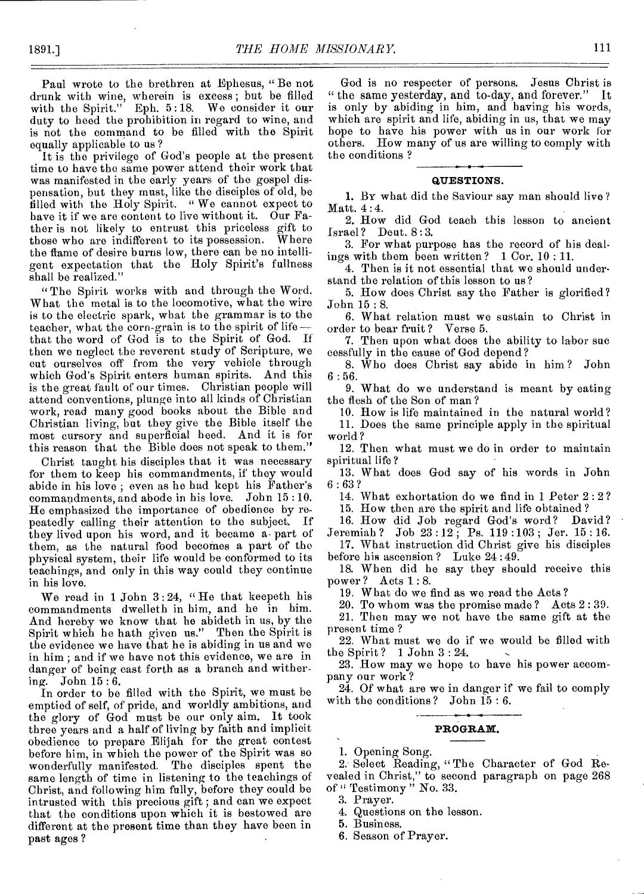Paul wrote to the brethren at Ephesus, " Be not drunk with wine, wherein is excess ; but be filled with the Spirit." Eph. 5:18. We consider it our duty to heed the prohibition in regard to wine, and is not the command to be filled with the Spirit equally applicable to us ?

It is the privilege of God's people at the present time to have the same power attend their work that was manifested in the early years of the gospel dispensation, but they must, like the disciples of old, be filled with the Holy Spirit. "We cannot expect to have it if we are content to live without it. Our Father is not likely to entrust this priceless gift to those who are indifferent to its possession. Where the flame of desire burns low, there can be no intelligent expectation that the Holy Spirit's fullness shall be realized."

"The Spirit works with and through the Word. What the metal is to the locomotive, what the wire is to the electric spark, what the grammar is to the teacher, what the corn-grain is to the spirit of lifethat the word of God is to the Spirit of God. If then we neglect the reverent study of Scripture, we cut ourselves off from the very vehicle through which God's Spirit enters human spirits. And this is the great fault of our times. Christian people will attend conventions, plunge into all kinds of Christian work, read many good books about the Bible and Christian living, but they give the Bible itself the most cursory and superficial heed. And it is for this reason that the Bible does not speak to them."

Christ taught his disciples that it was necessary for them to keep his commandments, if they would abide in his love ; even as he had kept his Father's commandments, and abode in his love. John 15 :10. He emphasized the importance of obedience by repeatedly calling their attention to the subject. If they lived upon his word, and it became a part of them, as the natural food becomes a part of the physical system, their life would be conformed to its teachings, and only in this way could they continue in his love.

We read in 1 John 3:24, "He that keepeth his commandments dwelleth in him, and he in him. And hereby we know that he abideth in us, by the Spirit which ho hath given us." Then the Spirit is the evidence we have that he is abiding in us and we in him ; and if we have not this evidence, we are in danger of being cast forth as a branch and withering. John 15 : 6.

In order to be filled with the Spirit, we must be emptied of self, of pride, and worldly ambitions, and the glory of God must be our only aim. It took three years and a half of living by faith and implicit obedience to prepare Elijah for the great contest before him, in which the power of the Spirit was so wonderfully manifested. The disciples spent the same length of time in listening to the teachings of Christ, and following him fully, before they could be intrusted with this precious gift ; and can we expect that the conditions upon which it is bestowed are different at the present time than they have been in past ages ?

God is no respecter of persons. Jesus Christ is " the same yesterday, and to-day, and forever." It is only by abiding in him, and having his words, which are spirit and life, abiding in us, that we may hope to have his power with us in our work for others. How many of us are willing to comply with the conditions ?

#### **QUESTIONS.**

1. BY what did the Saviour say man should live ? Matt. 4 :4.

2. How did God teach this lesson to ancient Israel? Deut. 8 : 3.

3. For what purpose has the record of his dealings with them been written ? 1 Cor. 10 : 11.

4. Then is it not essential that we should understand the relation of this lesson to us ?

5. How does Christ say the Father is glorified ? John 15 : 8.

6. What relation must we sustain to Christ in order to bear fruit ? Verse 5.

7. Then upon what does the ability to labor sue cessfully in the cause of God depend?

8. Who does Christ say abide in him ? John  $6:56.$ 

9. What do we understand is meant by eating the flesh of the Son of man ?

10. How is life maintained in the natural world?

11. Does the same principle apply in the spiritual world ?

12. Then what must we do in order to maintain spiritual life ?

13. What does God say of his words in John  $6:63?$ 

14. What exhortation do we find in 1 Peter 2 : 2 ?

15. How then are the spirit and life obtained?<br>16. How did Job regard God's word? David? 16. How did Job regard God's word?

Jeremiah ? Job 23 :12 ; Ps. 119 :103 ; Jer. 15 : 16. 17. What instruction did Christ give his disciples before his ascension ? Luke 24 : 49.

18. When did he say they should receive this power ? Acts 1.: 8.

19. What do we find as we read the Acts ?

20. To whom was the promise made ? Acts 2 : 39.

21. Then may we not have the same gift at the present time ?

22. What must we do if we would be filled with the Spirit ? 1 John 3 : 24.

23. How may we hope to have his power accompany our work ?

24. Of what are we in danger if we fail to comply with the conditions? John 15 : 6.

# **PROGRAM.**

1. Opening Song.

2. Select Reading, " The Character of God Revealed in Christ," to second paragraph on page 268 of " Testimony " No. 33.

3. Prayer.

4. Questions on the lesson.

5. Business.

6. Season of Prayer.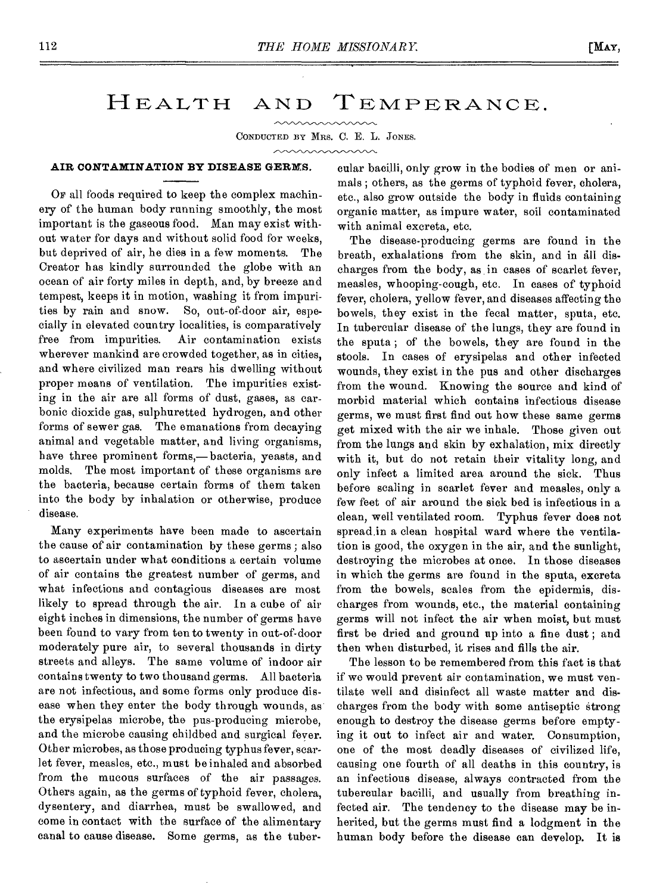# HEALTH AND TEMPERANCE.

CONDUCTED BY MRS. C. E. L. JONES.

mmmmm

# **AIR CONTAMINATION BY DISEASE GERMS.**

Or all foods required to keep the complex machinery of the human body running smoothly, the most important is the gaseous food. Man may exist without water for days and without solid food for weeks, but deprived of air, he dies in a few moments. The Creator has kindly surrounded the globe with an ocean of air forty miles in depth, and, by breeze and tempest, keeps it in motion, washing it from impurities by rain and snow. So, out-of-door air, especially in elevated country localities, is comparatively free from impurities. Air contamination exists wherever mankind are crowded together, as in cities, and where civilized man rears his dwelling without proper moans of ventilation. The impurities existing in the air are all forms of dust, gases, as carbonic dioxide gas, sulphuretted hydrogen, and other forms of sewer gas. The emanations from decaying animal and vegetable matter, and living organisms, have three prominent forms,— bacteria, yeasts, and molds. The most important of these organisms are the bacteria, because certain forms of them taken into the body by inhalation or otherwise, produce disease.

Many experiments have been made to ascertain the cause of air contamination by these germs ; also to ascertain under what conditions a certain volume of air contains the greatest number of germs, and what infections and contagious diseases are most likely to spread through the air. In a cube of air eight inches in dimensions, the number of germs have been found to vary from ten to twenty in out-of-door moderately pure air, to several thousands in dirty streets and alleys. The same volume of indoor air contains twenty to two thousand germs. All bacteria are not infectious, and some forms only produce disease when they enter the body through wounds, as the erysipelas microbe, the pus-producing microbe, and the microbe causing childbed and surgical fever. Other microbes, as those producing typhus fever, scarlet fever, measles, etc., must be inhaled and absorbed from the mucous surfaces of the air passages. Others again, as the germs of typhoid fever, cholera, dysentery, and diarrhea, must be swallowed, and come in contact with the surface of the alimentary canal to cause disease. Some germs, as the tubercular bacilli, only grow in the bodies of men or animals ; others, as the germs of typhoid fever, cholera, etc., also grow outside the body in fluids containing organic matter, as impure water, soil contaminated with animal excreta, etc.

The disease-producing germs are found in the breath, exhalations from the skin, and in all discharges from the body, as in cases of scarlet fever, measles, whooping-cough, etc. In cases of typhoid fever, cholera, yellow fever, and diseases affecting the bowels, they exist in the fecal matter, sputa, etc. In tubercular disease of the lungs, they are found in the sputa ; of the bowels, they are found in the stools. In cases of erysipelas and other infected wounds, they exist in the pus and other discharges from the wound. Knowing the source and kind of morbid material which contains infectious disease germs, we must first find out how these same germs get mixed with the air we inhale. Those given out from the lungs and skin by exhalation, mix directly with it, but do not retain their vitality long, and only infect a limited area around the sick. Thus before scaling in scarlet fever and measles, only a few feet of air around the sick bed is infectious in a clean, well ventilated room. Typhus fever does not spread in a clean hospital ward where the ventilation is good, the oxygen in the air, and the sunlight, destroying the microbes at once. In those diseases in which the germs are found in the sputa, excreta from the bowels, scales from the epidermis, discharges from wounds, etc., the material containing germs will not infect the air when moist, but must first be dried and ground up into a fine dust ; and then when disturbed, it rises and fills the air.

The lesson to be remembered from this fact is that if we would prevent air contamination, we must ventilate well and disinfect all waste matter and discharges from the body with some antiseptic strong enough to destroy the disease germs before emptying it out to infect air and water. Consumption, one of the most deadly diseases of civilized life, causing one fourth of all deaths in this country, is an infectious disease, always contracted from the tubercular bacilli, and usually from breathing infected air. The tendency to the disease may be inherited, but the germs must find a lodgment in the human body before the disease can develop. It is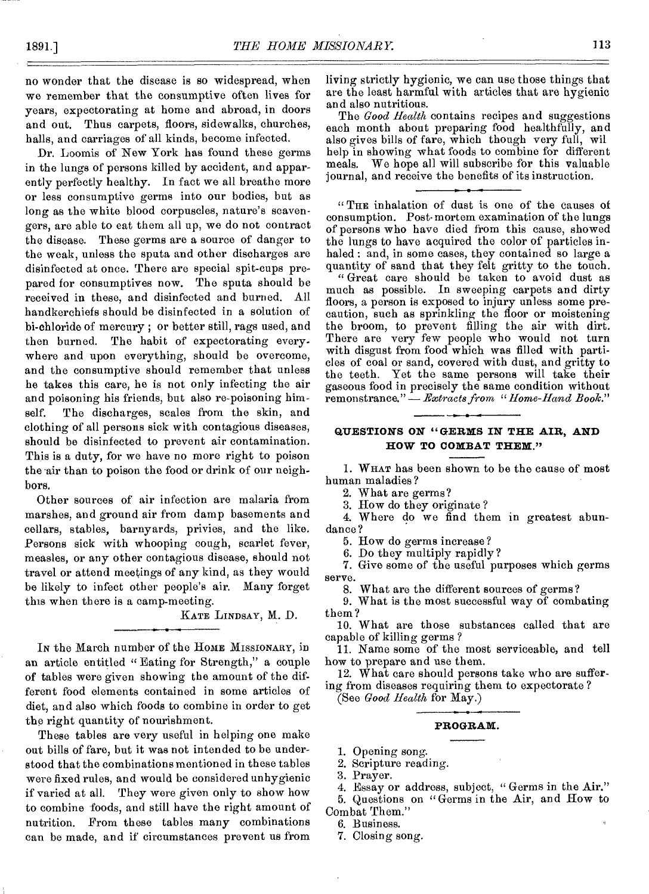no wonder that the disease is so widespread, when we remember that the consumptive often lives for years, expectorating at home and abroad, in doors and out. Thus carpets, floors, sidewalks, churches, halls, and carriages of all kinds, become infected.

Dr. Loomis of New York has found these germs in the lungs of persons killed by accident, and apparently perfectly healthy. In fact we all breathe more or less consumptive germs into our bodies, but as long as the white blood corpuscles, nature's scavengers, are able to eat them all up, we do not contract the disease. These germs are a source of danger to the weak, unless the sputa and other discharges are disinfected at once. There are special spit-cups prepared for consumptives now. The sputa should be received in these, and disinfected and burned. All handkerchiefs should be disinfected in a solution of hi-chloride of mercury ; or better still, rags used, and then burned. The habit of expectorating everywhere and upon everything, should be overcome, and the consumptive should remember that unless he takes this care, he is not only infecting the air and poisoning his friends, but also re-poisoning himself. The discharges, scales from the skin, and clothing of all persons sick with contagious diseases, should be disinfected to prevent air contamination. This is a duty, for we have no more right to poison the air than to poison the food or drink of our neighbors.

Other sources of air infection are malaria from marshes, and ground air from damp basements and cellars, stables, barnyards, privies, and the like. Persons sick with whooping cough, scarlet fever, measles, or any other contagious disease, should not travel or attend meetings of any kind, as they would be likely to infect other people's air. Many forget this when there is a camp-meeting.

KATE LINDSAY, M. D.

In the March number of the HOME MISSIONARY, in an article entitled " Eating for Strength," a couple of tables were given showing the amount of the different food elements contained in some articles of diet, and also which foods to combine in order to get the right quantity of nourishment.

These tables are very useful in helping one make out bills of fare, but it was not intended to be understood that the combinations mentioned in these tables were fixed rules, and would be considered unhygienic if varied at all. They were given only to show how to combine foods, and still have the right amount of nutrition. From these tables many combinations can be made, and if' circumstances prevent us from living strictly hygienic, we can use those things that are the least harmful with articles that are hygienic and also nutritious.

The *Good Health* contains recipes and suggestions each month about preparing food healthfully, and also gives bills of fare, which though very full, wil help in showing what foods to combine for different meals. We hope all will subscribe for this valuable journal, and receive the benefits of its instruction.

" THE inhalation of dust is one of the causes of consumption. Post-mortem examination of the lungs of persons who have died from this cause, showed the lungs to have acquired the color of particles inhaled : and, in some cases, they contained so large a quantity of sand that they felt gritty to the touch.

" Great care should be taken to avoid dust as much as possible. In sweeping carpets and dirty floors, a person is exposed to injury unless some precaution, such as sprinkling the floor or moistening the broom, to prevent filling the air with dirt. There are very few people who would not turn with disgust from food which was filled with particles of coal or sand, covered with dust, and gritty to the teeth. Yet the same persons will take their gaseous food in precisely the same condition without remonstrance." — *Extracts from " Home-Hand Book."* 

# **QUESTIONS ON "GERMS IN THE AIR, AND HOW TO COMBAT THEM,'**

I. WHAT has been shown to be the cause of most human maladies ?

2. What are germs?

3. How do they originate ?

4. Where do we find them in greatest abundance ?

5. How do germs increase ?

6. Do they multiply rapidly?

7. Give some of the useful purposes which germs serve.

8. What are the different sources of germs?

9. What is the most successful way of combating them?

10. What are those substances called that are capable of killing germs ?

11. Name some of the most serviceable, and tell how to prepare and use them.

12. What care should persons take who are suffering from diseases requiring them to expectorate ?

(See *Good Health* for May.)

# **PROGRAM.**

1. Opening song.

2. Scripture reading.

3. Prayer.

4. Essay or address, subject, " Germs in the Air."

5. Questions on "Germs in the Air, and How to Combat Them."

6. Business.

7. Closing song.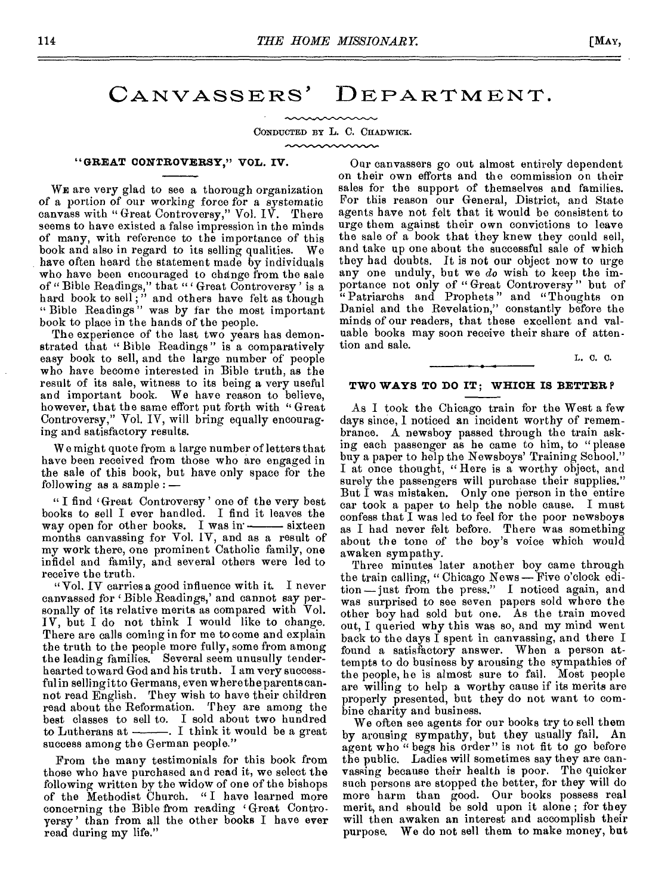# CANVASSERS' DEPARTMENT.

CONDUCTED BY L. C. CHADWICK.

# **"GREAT CONTROVERSY," VOL. IV.**

WE are very glad to see a thorough organization of a portion of our working force for a systematic canvass with " Great Controversy," Vol. IV. There seems to have existed a false impression in the minds of many, with reference to the importance of this book and also in regard to its selling qualities. We have often heard the statement made by individuals who have been encouraged to change from the sale of "Bible Readings," that " Great Controversy' is a hard book to sell," and others have felt as though "Bible Readings" was by far the most important book to place in the hands of the people.

The experience of the last two years has demonstrated that " Bible Readings " is a comparatively easy book to sell, and the large number of people who have become interested in Bible truth, as the result of its sale, witness to its being a very useful and important book. We have reason to believe, however, that the same effort put forth with "Great" Controversy," Vol. IV, will bring equally encouraging and satisfactory results.

W e might quote from a large number of letters that have been received from those who are engaged in the sale of this book, but have only space for the following as a sample : —

" I find 'Great Controversy' one of the very best books to sell I ever handled. I find it leaves the way open for other books. I was  $in \_\_\$ sixteen months canvassing for Vol. IV, and as a result of my work there, one prominent Catholic family, one infidel and family, and several others were led to receive the truth.

" Vol. IV carries a good influence with it. I never canvassed for 'Bible Readings,' and cannot say personally of its relative merits as compared with Vol. IV, but I do not think I would like to change. There are calls coming in for me to come and explain the truth to the people more fully, some from among the leading families. Several seem unusully tenderhearted toward God and his truth. I am very successful in selling it to Germans, even where the parents cannot read English. They wish to have their children read about the Reformation. They are among the best classes to sell to. I sold about two hundred to Lutherans at  $\frac{1}{\sqrt{1-\frac{1}{\sqrt{1-\frac{1}{\sqrt{1-\frac{1}{\sqrt{1-\frac{1}{\sqrt{1-\frac{1}{\sqrt{1-\frac{1}{\sqrt{1-\frac{1}{\sqrt{1-\frac{1}{\sqrt{1-\frac{1}{\sqrt{1-\frac{1}{\sqrt{1-\frac{1}{\sqrt{1-\frac{1}{\sqrt{1-\frac{1}{\sqrt{1-\frac{1}{\sqrt{1-\frac{1}{\sqrt{1-\frac{1}{\sqrt{1-\frac{1}{\sqrt{1-\frac{1}{\sqrt{1-\frac{1}{\sqrt{1-\frac{1}{\sqrt{1-\frac{1}{\sqrt{1-\frac{1}{\$ success among the German people."

From the many testimonials for this book from those who have purchased and read it, we select the following written by the widow of one of the bishops of the Methodist Church. " I have learned more concerning the Bible from reading ' Great Controversy' than from all the other books I have ever read during my life."

Our canvassers go out almost entirely dependent on their own efforts and the commission on their sales for the support of themselves and families. For this reason our General, District, and State agents have not felt that it would be consistent to urge them against their own convictions to leave the sale of a book that they knew they could sell, and take up one about the successful sale of which they had doubts. It is not our object now to urge any one unduly, but we *do* wish to keep the importance not only of "Great Controversy" but of " Patriarchs and Prophets " and "Thoughts on Daniel and the Revelation," constantly before the minds of our readers, that these excellent and valuable books may soon receive their share of attention and sale.

#### L. C. C.

# **TWO WAYS TO DO IT; WHICH IS BETTER?**

As I took the Chicago train for the West a few days since, 1 noticed an incident worthy of remembrance. A newsboy passed through the train asking each passenger as he came to him, to "please buy a paper to help the Newsboys' Training School." I at once thought, " Here is a worthy object, and surely the passengers will purchase their supplies." But I was mistaken. Only one person in the entire car took a paper to help the noble cause. I must confess that I was led to feel for the poor newsboys as I had never felt before. There was something about the tone of the boy's voice which would awaken sympathy.

Three minutes later another boy came through the train calling, " Chicago News — Five o'clock edition —just from the press." I noticed again, and was surprised to see seven papers sold where the other boy had sold but one. As the train moved out, I queried why this was so, and my mind went back to the days I spent in canvassing, and there I found a satisfactory answer. When a person attempts to do business by arousing the sympathies of the people, he is almost sure to fail. Most people the people, he is almost sure to fail. are willing to help a worthy cause if its merits are properly presented, but they do not want to combine charity and business.

We often see agents for our books try to sell them by arousing sympathy, but they usually fail. An agent who " begs his order" is not fit to go before the public. Ladies will sometimes say they are canvassing because their health is poor. The quicker such persons are stopped the better, for they will do more harm than good. Our books possess real merit, and should be sold upon it alone ; for they will then awaken an interest and accomplish their purpose. We do not sell them to make money, but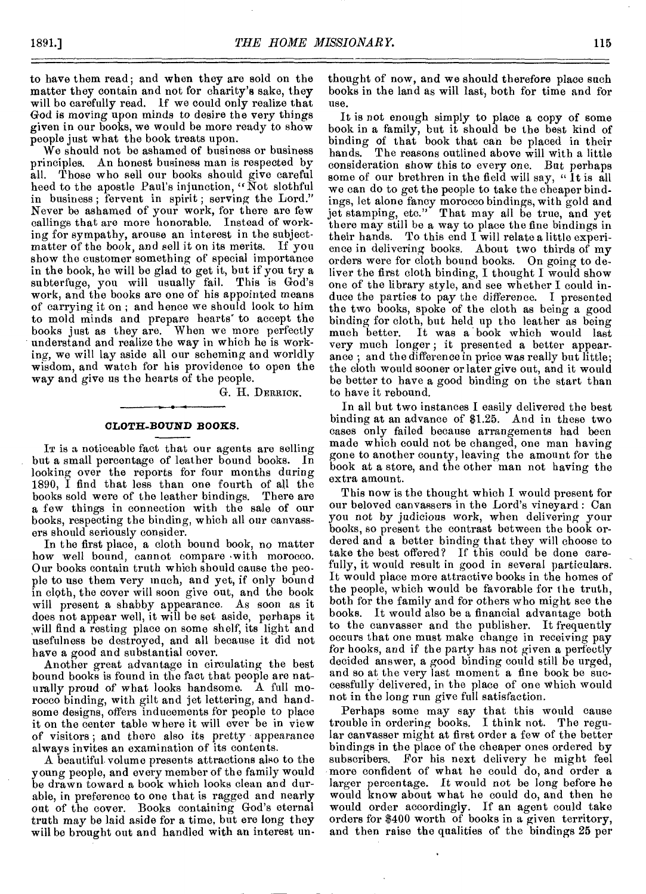to have them read; and when they are sold on the matter they contain and not for charity's sake, they will bo carefully read. If we could only realize that God is moving upon minds to desire the very things given in our books, we would be more ready to show people just what the book treats upon.

We should not be ashamed of business or business principles. An honest business man is respected by all. Those who sell our books should give careful heed to the apostle Paul's injunction, "Not slothful in business ; fervent in spirit ; serving the Lord." Never be ashamed of your work, for there are few callings that are more honorable. Instead of working for sympathy, arouse an interest in the subjectmatter of the book, and sell it on its merits. If you show the customer something of special importance in the book, he will be glad to get it, but if you try a subterfuge, you will usually fail. This is God's work, and the books are one of his appointed means of carrying it on ; and hence we should look to him to mold minds and prepare hearts' to accept the books just as they are. When we more perfectly understand and realize the way in which he is working, we will lay aside all our scheming and worldly wisdom, and watch for his providence to open the way and give us the hearts of the people.

G. II. DERRICK.

### **CLOTH-BOUND BOOKS.**

It is a noticeable fact that our agents are selling but a small percentage of leather bound books. In looking over the reports for four months during 1890, I find that less than one fourth of all the books sold were of the leather bindings. There are books sold were of the leather bindings. a few things in connection with the sale of our books, respecting the binding, which all our canvassers should seriously consider.

In the first place, a cloth bound book, no matter how well bound, cannot compare with morocco. Our books contain truth which should cause the people to use them very much, and yet, if only bound in cloth, the cover will soon give out, and the book will present a shabby appearance. As soon as it does not appear well, it will be set aside, perhaps it will find a resting place on some shelf, its light and usefulness be destroyed, and all because it did not have a good and substantial cover.

Another great advantage in circulating the best bound books is found in the fact that people are naturally proud of what looks handsome. A full morocco binding, with gilt and jet lettering, and handsome designs, offers inducements for people to place it on the center table where it will ever be in view of visitors ; and there also its pretty appearance always invites an examination of its contents.

A beautiful volume presents attractions also to the young people, and every member of the family would be drawn toward a book which looks clean and durable, in preference to one that is ragged and nearly out of the cover. Books containing God's eternal truth may be laid aside for a time, but ere long they will be brought out and handled with an interest unthought of now, and we should therefore place such books in the land as will last, both for time and for use.

It is not enough simply to place a copy of some book in a family, but it should be the best kind of binding of that book that can be placed in their The reasons outlined above will with a little consideration show this to every one. But perhaps some of our brethren in the field will say, "It is all we can do to get the people to take the cheaper bindings, let alone fancy morocco bindings, with gold and jet stamping, etc." That may all be true, and yet there may still be a way to place the fine bindings in their hands. To this end I will relate a little experience in delivering books. About two thirds of my orders were for cloth bound books. On going to deliver the first cloth binding, I thought I would show one of the library style, and see whether I could induce the parties to pay the difference. I presented the two books, spoke of the cloth as being a good binding for cloth, but held up the leather as being It was a book which would last very much longer; it presented a better appearance ; and the difference in price was really but little; the cloth would sooner or later give out, and it would be better to have a good binding on the start than to have it rebound.

In all but two instances I easily delivered the best binding at an advance of \$1.25. And in these two cases only failed because arrangements had been made which could not be changed, one man having gone to another county, leaving the amount for the book at a store, and the other man not having the extra amount.

This now is the thought which I would present for our beloved canvassers in the Lord's vineyard : Can you not by judicious work, when delivering your books, so present the contrast between the book ordered and a better binding that they will choose to take the best offered? If this could be done carefully, it would result in good in several particulars. It would place more attractive books in the homes of the people, which would be favorable for the truth, both for the family and for others who might see the books. It would also be a financial advantage both to the canvasser and the publisher. It frequently occurs that one must make change in receiving pay for books, and if the party has not given a perfectly decided answer, a good binding could still be urged, and so at the very last moment a fine book be successfully delivered, in the place of one which would not in the long run give full satisfaction.

Perhaps some may say that this would cause trouble in ordering books. I think not. The regular canvasser might at first order a few of the better bindings in the place of the cheaper ones ordered by subscribers. For his next delivery he might feel more confident of what he could do, and order a larger percentage. It would not be long before he would know about what he could do, and then he would order accordingly. If an agent could take orders for \$400 worth of books in a given territory, and then raise the qualities of the bindings 25 per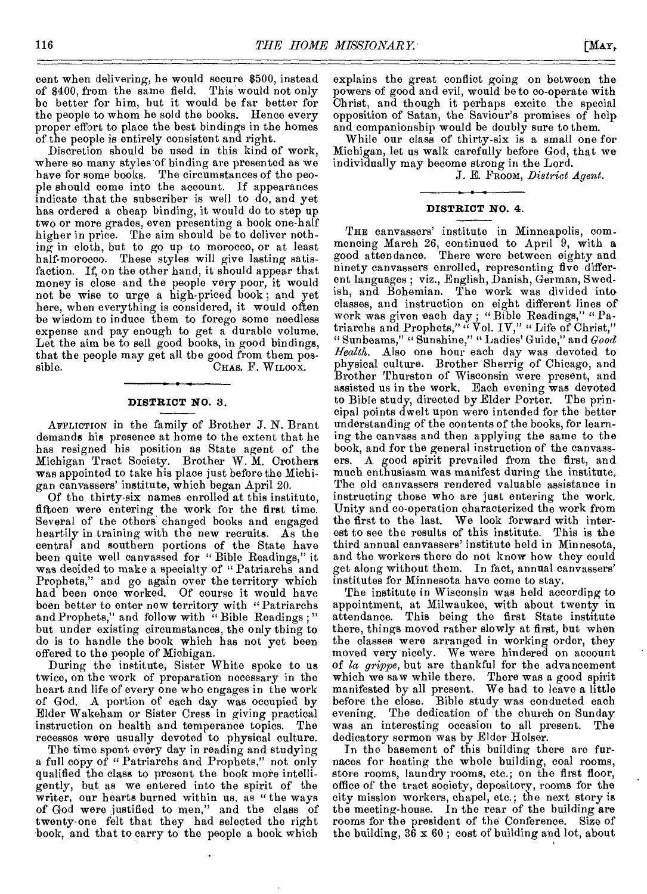cent when delivering, he would secure \$500, instead of \$400, from the same field. This would not only be better for him, but it would be far better for the people to whom he sold the books. Hence every proper effort to place the best bindings in the homes of the people is entirely consistent and right.

Discretion should be used in this kind of work, where so many styles'of binding are presented as we have for some books. The circumstances of the people should come into the account. If appearances indicate that the subscriber is well to do, and yet has ordered a cheap binding, it would do to step up two or more grades, even presenting a book one-half higher in price. The aim should be to deliver nothing in cloth, but to go up to morocco, or at least half-morocco. These styles will give lasting satisfaction, If, on the other hand, it should appear that money is close and the people very poor, it would not be wise to urge a high-priced book ; and yet here, when everything is considered, it would often be wisdom to induce them to forego some needless expense and pay enough to get a durable volume. Let the aim be to sell good books, in good bindings, that the people may get all the good from them pos-<br>sible. CHAS. F. WILCOX. CHAS. F. WILCOX.

## **DISTRICT NO. 3.**

AFFLICTION in the family of Brother *J.* N. Brant demands his presence at home to the extent that he has resigned bis position as State agent of the Michigan Tract Society. Brother W. M. Crothers was appointed to take his place just before the Michigan canvassers' institute, which began April 20.

Of the thirty-six names enrolled at this institute, fifteen were entering the work for the first time. Several of the others changed books and engaged heartily in training with the new recruits. As the central and southern portions of the State have been quite well canvassed for " Bible Readings," it was decided to make a specialty of " Patriarchs and Prophets," and go again over the territory which had been once worked. Of course it would have been better to enter new territory with "Patriarchs and Prophets," and follow with "Bible Readings;" but under existing circumstances, the only thing to do is to handle the book which has not yet been offered to the people of Michigan.

During the institute, Sister White spoke to us twice, on the work of preparation necessary in the heart and life of every one who engages in the work of God. A portion of each day was occupied by Elder Wakeham or Sister Cress in giving practical instruction on health and temperance topics. The recesses were usually devoted to physical culture.

The time spent every day in reading and studying a full copy of " Patriarchs and Prophets," not only qualified the class to present the book more intelligently, but as we entered into the spirit of the writer, our hearts burned within us, as "the ways of God were justified to men," and the class of twenty-one felt that they had selected the right book, and that to carry to the people a book which

explains the great conflict going on between the powers of good and evil, would be to co-operate with Christ, and though it perhaps excite the special opposition of Satan, the Saviour's promises of help and companionship would be doubly sure to them.

While our class of thirty-six is a small one for Michigan, let us walk carefully before God, that we individually may become strong in the Lord.

J. E. FnooM, *District Agent.* 

# **DISTRICT NO. 4.**

THE canvassers' institute in Minneapolis, commencing March 26, continued to April 9, with a good attendance. There were between eighty and ninety canvassers enrolled, representing five different languages ; viz., English, Danish, German, Swedish, and Bohemian. The work was divided into classes, and instruction on eight different lines of work was given each day ; "Bible Readings," " Patriarchs and Prophets," " Vol. IV," " Life of Christ," " Sunbeams," " Sunshine," "Ladies' Guide," and *Good Health.* Also one hour each day was devoted to physical culture. Brother Sherrig of Chicago, and Brother Thurston of Wisconsin were present, and assisted us in the work. Each evening was devoted to Bible study, directed by Elder Porter. The principal points dwelt upon were intended for the better understanding of the contents of the books, for learning the canvass and then applying the same to the book, and for the general instruction of the canvassers. A good spirit prevailed from the first, and much enthusiasm was manifest during the institute. The old canvassers rendered valuable assistance in instructing those who are just entering the work. Unity and co-operation characterized the work from the first to the last. We look forward with interest to see the results of this institute. This is the third annual canvassers' institute held in Minnesota, and the workers there do not know how they could get along without them. In fact, annual canvassers' institutes for Minnesota have come to stay.

The institute in Wisconsin was held according to appointment, at Milwaukee, with about twenty in attendance. This being the first State institute there, things moved rather slowly at first, but when the classes were arranged in working order, they moved very nicely. We were hindered on account of *la grippe,* but are thankful for the advancement which we saw while there. There was a good spirit manifested by all present. We had to leave a little before the close. Bible study was conducted each evening. The dedication of the church on Sunday was an interesting occasion to all present. The dedicatory sermon was by Elder Holser.

In the basement of this building there are furnaces for heating the whole building, coal rooms, store rooms, laundry rooms, etc.; on the first floor, office of the tract society, depository, rooms for the city mission workers, chapel, etc.; the next story is the meeting-house. In the rear of the building are rooms for the president of the Conference. Size of the building,  $36 \times 60$ ; cost of building and lot, about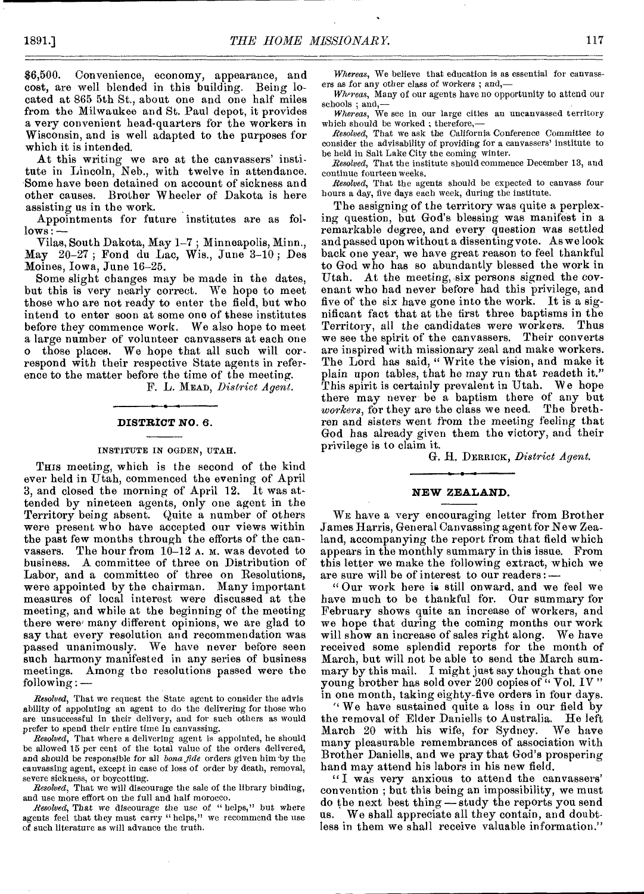\$6,500. Convenience, economy, appearance, and cost, are well blended in this building. Being located at 865 5th St., about one and one half miles from the Milwaukee and St. Paul depot, it provides a very convenient head-quarters for the workers in Wisconsin, and is well adapted to the purposes for which it is intended.

At this writing we are at the canvassers' institute in Lincoln, Neb., with twelve in attendance. Some have been detained on account of sickness and other causes. Brother Wheeler of Dakota is here assisting us in the work.

Appointments for future institutes are as fol $lows$ :

Vilas, South Dakota, May 1-7 • Minneapolis, Minn., May 20-27 ; Fond du Lac, Wis., June 3-10 ; Des Moines, Iowa, June 16-25.

Some slight changes may be made in the dates, but this is very nearly correct. We hope to meet those who are not ready to enter the field, but who intend to enter soon at some one of these institutes before they commence work. We also hope to meet a large number of volunteer canvassers at each one o those places. We hope that all such will correspond with their respective State agents in reference to the matter before the time of the meeting.

F. L. MEAD, *District Agent.* 

### **DISTRICT NO. 6.**

#### INSTITUTE IN OGDEN, UTAH.

THIS meeting, which is the second of the kind ever held in Utah, commenced the evening of April 3, and closed the morning of April 12. it was attended by nineteen agents, only one agent in the Territory being absent. Quite a number of others were present who have accepted our views within the past few months through the efforts of the canvassers. The hour from  $10-12$  A. M. was devoted to business. A committee of three on Distribution of Labor, and a committee of three on Resolutions, were appointed by the chairman. Many important measures of local interest were discussed at the meeting, and while at the beginning of the meeting there were many different opinions, we are glad to say that every resolution and recommendation was passed unanimously. We have never before seen such harmony manifested in any series of business meetings. Among the resolutions passed were the following : *—* 

*Resolved,* That we request the State agent to consider the advis ability of appointing an agent to do the delivering for those who are unsuccessful in their delivery, and for such others as would prefer to spend their entire time in canvassing.

*Resolved,* That where a delivering agent is appointed, he should be allowed 15 per cent of the total value of the orders delivered, and should be responsible for all *bona fide* orders given him by the canvassing agent, except in case of loss of order by death, removal, severe sickness, or boycotting.

*Resolved,* That we will discourage the sale of the library binding, and use more effort on the full and half morocco.

*Resolved,* That we discourage the *use* of " helps," but where agents feel that they must carry "helps," we recommend the use of such literature as will advance the truth.

*Whereas,* We believe that education is as essential for canvassers as for any other class *of* workers ; and,—

*Whereas,* Many of our agents have no opportunity to attend our schools ; and,

*Whereas,* We see in our large cities an uncanvassed territory which should be worked ; therefore,—

*Resolved,* That we ask the California Conference Committee to consider the advisability of providing for a canvassers' institute to be held in Salt Lake City the coming winter.

*Resolved,* That the institute should commence December 13, and continue fourteen weeks.

*Resolved,* That the agents should be expected to canvass four hours a day, five days each week, during the institute.

The assigning of the territory was quite a perplexing question, but God's blessing was manifest in a remarkable degree, and every question was settled and passed upon without a dissenting vote. As we look back one year, we have great reason to feel thankful to God who has so abundantly blessed the work in Utah. At the meeting, six persons signed the covenant who had never before had this privilege, and five of the six have gone into the work. It is a significant fact that at the first three baptisms in the Territory, all the candidates were workers. we see the spirit of the canvassers. Their converts are inspired with missionary zeal and make workers. The Lord has said, " Write the vision, and make it plain upon tables, that he may run that readeth it." This spirit is certainly prevalent in Utah. We hope there may never be a baptism there of any but *workers,* for they are the class we need. The brethren and sisters went from the meeting feeling that God has already given them the victory, and their privilege is to claim it.

G. H. DERRICK, *District Agent.* 

# **NEW ZEALAND.**

WE have a very encouraging letter from Brother James Harris, General Canvassing agent for New Zealand, accompanying the report from that field which appears in the monthly summary in this issue. From this letter we make the following extract, which we are sure will be of interest to our readers:—

" Our work here is still onward, and we feel we have much to be thankful for. Our summary for February shows quite an increase of workers, and we hope that during the coming months our work will show an increase of sales right along. We have received some splendid reports for the month of March, but will not be able to send the March summary by this mail. I might just say though that one young brother has sold over 200 copies of " Vol. IV" in one month, taking eighty-five orders in four days.

We have sustained quite a loss in our field by the removal of Elder Daniells to Australia. He left<br>March 20 with his wife, for Sydney. We have March  $20$  with his wife, for Sydney. many pleasurable remembrances of association with Brother Daniells, and we pray that God's prospering hand may attend his labors in his new field.

"I was very anxious to attend the canvassers' convention ; but this being an impossibility, we must do the next best thing - study the reports you send us. We shall appreciate all they contain, and doubtless in them we shall receive valuable information."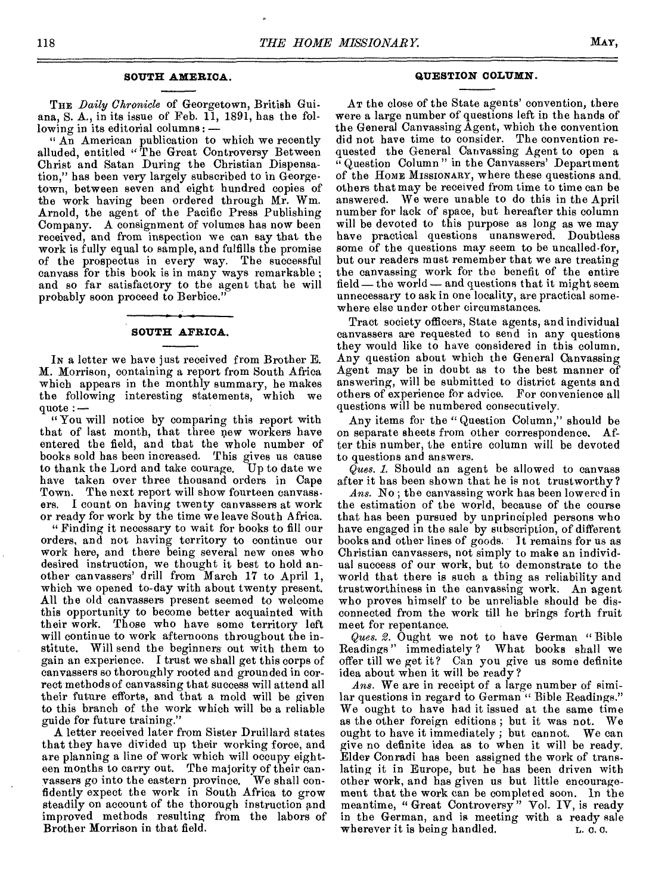# **SOUTH AMERICA.**

THE *Daily Chronicle* of Georgetown, British Guiana, S. A., in its issue of Feb. 11, 1891, has the following in its editorial columns: —

" An American publication to which we recently alluded, entitled " The Great Controversy Between Christ and Satan During the Christian Dispensation," has been very largely subscribed to in Georgetown, between seven and eight hundred copies of the work having been ordered through Mr. Wm. Arnold, the agent of the Pacific Press Publishing Company. A consignment of volumes has now been received, and from inspection we can say that the work is fully equal to sample, and fulfills the promise of the prospectus in every way. The successful canvass for this book is in many ways remarkable ; and so far satisfactory to the agent that he will probably soon proceed to Berbice."

# **SOUTH AFRICA.**

IN a letter we have just received from Brother E. M. Morrison, containing a report from South Africa which appears in the monthly summary, he makes the following interesting statements, which quote :—

" You will notice by comparing this report with that of last month, that three new workers have entered the field, and that the whole number of books sold has been increased. This gives us cause to thank the Lord and take courage. Up to date we have taken over three thousand orders in Cape Town. The next report will show fourteen canvassers. I count on having twenty canvassers at work or ready for work by the time we leave South Africa.

" Finding it necessary to wait for books to fill our orders, and not having territory to continue our work here, and there being several new ones who desired instruction, we thought it best to hold another canvassers' drill from March 17 to April 1, which we opened to-day with about twenty present. All the old canvassers present seemed to welcome this opportunity to become better acquainted with<br>their work. Those who have some territory left Those who have some territory left will continue to work afternoons throughout the institute. Will send the beginners out with them to gain an experience. I trust we shall get this corps of canvassers so thoroughly rooted and grounded in correct methods of canvassing that success will attend all their future efforts, and that a mold will be given to this branch of the work which will be a reliable guide for future training."

A letter received later from Sister Druillard states that they have divided up their working force, and are planning a line of work which will occupy eighteen months to carry out. The majority of their canvassers go into the eastern province. We shall confidently expect the work in South Africa to grow steadily on account of the thorough instruction and improved methods resulting from the labors of Brother Morrison in that field.

### **QUESTION COLUMN.**

AT the close of the State agents' convention, there were a large number of questions left in the hands of the General Canvassing Agent, which the convention did not have time to consider. The convention requested the General Canvassing Agent to open a " Question Column " in the Canvassers' Department of the HOME MISSIONARY, where these questions and, others that may be received from time to time can be answered. We were unable to do this in the April number for lack of space, but hereafter this column will be devoted to this purpose as long as we may have practical questions unanswered, Doubtless some of the questions may seem to be uncalled-for, but our readers must remember that we are treating the canvassing work for the benefit of the entire field— the world — and questions that it might seem unnecessary to ask in one locality, are practical somewhere else under other circumstances.

Tract society officers, State agents, and individual canvassers are requested to send in any questions they would like to have considered in this column. Any question about which the General Canvassing Agent may be in doubt as to the best manner of answering, will be submitted to district agents and others of experience for advice. For convenience all questions will be numbered consecutively.

Any items for the " Question Column," should be on separate sheets from other correspondence. After this number, the entire column will be devoted to questions and answers.

*Ques. 1.* Should an agent be allowed to canvass after it has been shown that he is not trustworthy?

*Ans.* No ; the canvassing work has been lowered in the estimation of the world, because of the course that has been pursued by unprincipled persons who have engaged in the sale by subscription, of different books and other lines of goods. It remains for us as Christian canvassers, not simply to make an individual success of our work, but to demonstrate to the world that there is such a thing as reliability and trustworthiness in the canvassing work. An agent who proves himself to be unreliable should be disconnected from the work till he brings forth fruit meet for repentance.

*Ques. 2.* Ought we not to have German " Bible Readings" immediately ? What books shall we offer till we get it? Can you give us some definite idea about when it will be ready ?

*Ans.* We are in receipt of a large number of similar questions in regard to German " Bible Readings." We ought to have had it issued at the same time as the other foreign editions ; but it was not. We ought to have it immediately ; but cannot. We can give no definite idea as to when it will be ready. Elder Conradi has been assigned the work of translating it in Europe, but he has been driven with other work, and has given us but little encouragement that the work can be completed soon. In the meantime, " Great Controversy ' Vol. IV, is ready in the German, and is meeting with a ready sale wherever it is being handled. L. C. C.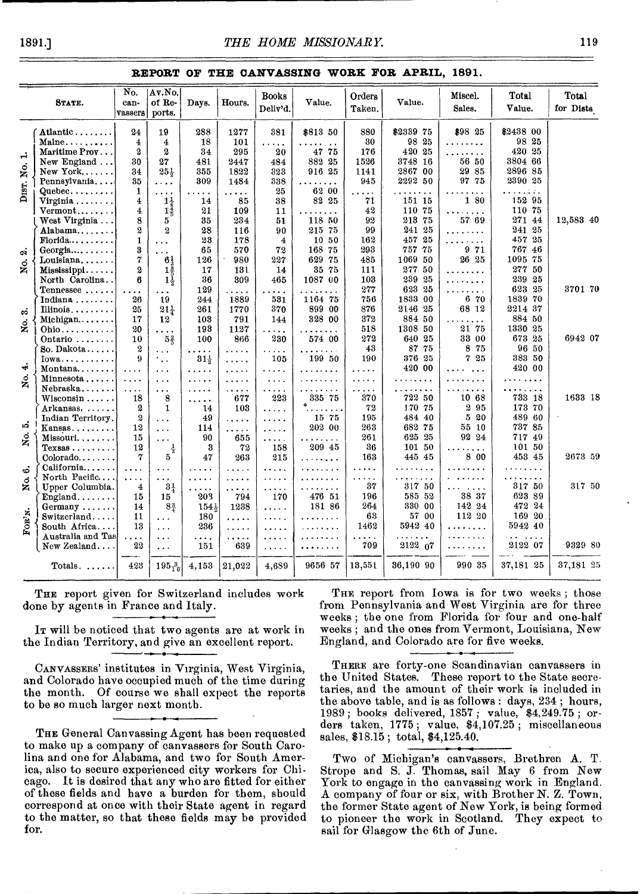# **REPORT OF THE CANVASSING WORK FOR APRIL, 1891.**

|           | STATE.                       | $\overline{N_{O}}$<br>can-<br>vassers | Av.No.<br>of Re-<br>ports. | Days.           | Hours.   | <b>Books</b><br>Deliy'd. | Value.                    | Orders<br>Taken. | Value.                         | Miscel.<br>Sales.    | Total<br>Value.      | Total<br>for Dists |
|-----------|------------------------------|---------------------------------------|----------------------------|-----------------|----------|--------------------------|---------------------------|------------------|--------------------------------|----------------------|----------------------|--------------------|
|           | Atlantic                     | 24                                    | 19                         | 288             | 1277     | 381                      | \$813 50                  | 880              | \$2339 75                      | \$98 25              | \$2438 00            |                    |
|           | Maine                        | 4                                     | $\overline{4}$             | 18              | 101      | .                        |                           | 30               | 98 25                          | .                    | 98 25                |                    |
| ⊣         | Maritime Prov                | 2                                     | $\boldsymbol{2}$           | 34              | 295      | 20                       | 47 75                     | 176              | 420 25                         | 1.1.1.1.1.1          | 420 25               |                    |
|           | New England                  | 30                                    | 27                         | 481             | 2447     | 484                      | 882 25                    | 1526             | 3748 16                        | 56 50                | 3804 66              |                    |
|           | $New York$                   | 34                                    | $25\frac{1}{3}$            | 355             | 1822     | 323                      | 916 25                    | 1141             | 2867 00                        | 29 85                | 2896 85              |                    |
| DIST. No. | Pennsylvania                 | 35                                    | $\cdots$                   | 309             | 1484     | 338                      | $\ddot{\phantom{a}}$      | 945              | 2292 50                        | 97 75                | 2390 25              |                    |
|           | $Queue$ bec                  | 1                                     | .                          | $\cdots$        | .        | 25                       | 62 00                     | $\cdots$         |                                |                      | 1.1.1.1.1.1          |                    |
|           | Virginia                     | $\bf{4}$                              | $1\frac{1}{4}$             | 14              | 85       | 38                       | 82 25                     | 71               | 151 15                         | 1 80                 | 152 95               |                    |
|           | $Vermont$                    | $\overline{\bf 4}$                    | $1\frac{7}{5}$             | 21              | 109      | 11                       | $\ddot{\phantom{0}}$<br>. | 42               | 110 75                         | .                    | 110 75               |                    |
|           | West Virginia                | 8                                     | 5                          | 35              | 234      | 51                       | 118 50                    | 92               | 213 75                         | 57 69                | 27144                | 12,583 40          |
|           | Alabama                      | $\boldsymbol{2}$                      | $\boldsymbol{2}$           | 28              | 116      | 90                       | 215 75                    | 99               | 241 25                         | <u>.</u>             | $241\,25$            |                    |
|           | $\text{Florida}\ldots\ldots$ | $\mathbf{1}$                          | $\sim$ $\sim$              | 23              | 178      | 4                        | 10 50                     | 162              | 457 25                         | .                    | 457 25               |                    |
| ä         | Georgia                      | 3                                     | $\cdots$                   | 65              | 570      | 72                       | 168 75                    | 293              | 757 75                         | 9 71                 | 767 46               |                    |
|           | Louisiana                    | 7                                     | 63                         | 126             | 980      | 227                      | 629 75                    | 485              | 1069 50                        | 26 25                | 1095 75              |                    |
| ż.        | Mississippi                  | $\boldsymbol{2}$                      | $1\frac{3}{5}$             | 17              | 131      | 14                       | 35 75                     | 111              | 277 50                         | .                    | 277 50               |                    |
|           | North Carolina               | 6                                     | $1\frac{1}{3}$             | 36              | 309      | 465                      | 1087 00                   | 103              | 239 25                         | .                    | 239 25               |                    |
|           | $T$ ennessee                 | $\cdots$                              | $\cdots$                   | 129             | .        | $\cdots$                 |                           | $277\,$          | 623 25                         | $\cdots$             | 623 25               | 3701 70            |
|           | Indiana                      | 26                                    | 19                         | 244             | 1889     | 531                      | 1164 75                   | 756              | 1833 00                        | 6 70                 | 1839 70              |                    |
| တံ        | Illinois                     | 25                                    | $21_{2}$                   | 261             | 1770     | 370                      | 899 00                    | 876              | 2146 25                        | 68 12                | 2214 37              |                    |
|           | Michigan                     | 17                                    | 12                         | 103             | 791      | 144                      | 328 00                    | 372              | 884 50                         |                      | 884 50               |                    |
| ż.        | $Ohio$                       | 20                                    | .                          | 193             | 1127     | $\cdots$                 |                           | 518              | 1308 50                        | 21 75                | 1330 25              |                    |
|           | Ontario                      | 10                                    | $5\frac{2}{5}$             | 100             | 866      | 230                      | 574 00                    | 272              | 640 25                         | 33 00                | 673 25               | 6942 07            |
|           | So. Dakota                   | $\boldsymbol{2}$                      | $\sim 100$                 | .               | .        | .                        | $\ddot{\phantom{a}}$      | 43               | 87 75                          | 8<br>-75             | 96 50                |                    |
|           | Iowa                         | 9                                     | ٠.,                        | $31\frac{1}{2}$ | .        | 105                      | 199 50                    | 190              | 376 25                         | 25<br>7              | 383 50               |                    |
| نه        | Montana                      | $\cdots$                              | $\cdots$                   | .               | .        | .                        | .                         | .                | 420 00                         |                      | 420 00               |                    |
| g.        | Minnesota                    | $\cdots$                              | $\cdots$                   | .               | .        | .                        | .                         | .                | .                              | $\cdots$             | .                    |                    |
|           | Nebraska                     | $\ldots$                              | $\cdots$                   |                 | .        | $\sim$ and $\sim$ and    | $\ldots$                  | .                | .                              | $\ddot{\phantom{0}}$ | .                    |                    |
|           | $W$ isconsin $\ldots$ .      | 18                                    | 8                          | .               | 677      | 223                      | 335 75                    | 370              | 722 50                         | 10 68                | 733 18               | 1633 18            |
|           | Arkansas.                    | 2                                     | $\mathbf{1}$               | 14              | 103      | .                        |                           | 72               | 170 75                         | 295                  | 173 70               |                    |
|           | Indian Territory.            | $\boldsymbol{2}$                      | $\cdots$                   | 49              | .        | .                        | 15 75                     | 195              | 484 40                         | 20<br>5              | 489 60               |                    |
| ນລ້       | Kansas                       | 12                                    | $\cdots$                   | 114             | .        | .                        | 202 00                    | 263              | 682 75                         | 55 10                | 737 85               |                    |
| ž,        | $M$ issouri. $\ldots$        | 15                                    | $\sim$ $\sim$ $\sim$       | 90              | 655      | $\cdots$                 | .<br>$\sim$ $\sim$        | 261              | 625 25                         | 92 24                | 717 49               |                    |
|           | $T$ exsas                    | 12                                    | $\frac{1}{2}$              | 3               | 72       | 158                      | 20945                     | 36               | 101 50                         | $\ddot{\phantom{0}}$ | 101 50               |                    |
|           | $Colorado \ldots$            | $\boldsymbol{7}$                      | 5                          | 47              | 263      | 215                      | .                         | 163              | 445 45                         | 8 00                 | 453 45               | 2673 59            |
| త         | California                   | $\ddot{\phantom{a}}$                  | $\cdots$                   | $\cdots$        | .        | .                        | .                         | .                | .                              | .                    | .                    |                    |
|           | North Pacific                | $\ddot{\phantom{a}}$                  | $\cdots$                   | $\cdots$        | .        | .                        | $\cdots$                  | .                | $\alpha$ , $\alpha$ , $\alpha$ | .                    | .                    |                    |
| No.       | Upper Columbia.              | 4                                     | $3\frac{1}{4}$             | .               | .        | .                        | .                         | 37               | 317 50                         | .                    | 317 50               | 317 50             |
|           | $England$                    | 15                                    | 15 <sup>°</sup>            | 203             | 794      | 170                      | 476 51                    | 196              | 585 52                         | 38 37                | 623 89               |                    |
|           | $Germany$                    | 14                                    | $8\frac{3}{4}$             | 154.            | 1238     | $\cdots$                 | 181 86                    | 264              | 330 00                         | 142 24               | 472 24               |                    |
|           | Switzerland                  | 11                                    | .                          | 180             | .        | $\ldots$                 | .                         | 63               | 57 00                          | 112 20               | 169 20               |                    |
| FOR'N.    | South Africa                 | 13                                    | $\cdots$                   | 236             | $\cdots$ | $\cdots$                 | . <b>.</b>                | 1462             | 5942 40                        | .                    | 5942 40              |                    |
|           | Australia and Tas            | .                                     | .                          | .               | .        | .                        |                           | .                | $\cdots$                       |                      | $\cdots$<br>$\ldots$ |                    |
|           | New Zealand                  | 22                                    | $\cdots$                   | 151             | 639      | $\cdots$                 | <b>.</b>                  | 709              | 2122 07                        | $\cdots$             | 2122 07              | 9329 80            |
|           |                              |                                       |                            |                 |          |                          |                           |                  |                                |                      |                      |                    |
|           | Totals. $\ldots$ .           | 423                                   | $195\frac{3}{10}$          | 4,153           | 21,022   | 4,689                    | 9656 57                   | 13,551           | 36,190 90                      | 990 35               | 37,181 25            | 37,181 25          |
|           |                              |                                       |                            |                 |          |                          |                           |                  |                                |                      |                      |                    |

THE report given for Switzerland includes work done by agents in France and Italy.

IT will be noticed that two agents are at work in the Indian Territory, and give an excellent report.

CANVASSERS' institutes in Virginia, West Virginia, and Colorado have occupied much of the time during the month. Of course we shall expect the reports to be so much larger next month.

THE General Canvassing Agent has been requested to make up a company of canvassers for South Carolina and one for Alabama, and two for South America, also to secure experienced city workers for Chicago. It is desired that any who are fitted for either of these fields and have a burden for them, should correspond at once with their State agent in regard to the matter, so that these fields may be provided for.

THE report from Iowa is for two weeks; those from Pennsylvania and West Virginia are for three weeks ; the one from Florida for four and one-half weeks ; and the ones from Vermont, Louisiana, New England, and Colorado are for five weeks.

THERE are forty-one Scandinavian canvassers in the United States. These report to the State secretaries, and the amount of their work is included in the above table, and is as follows : days, 234 ; hours, 1989 ; books delivered, 1857 ; value, \$4,249.75 ; orders taken, 1775; value, \$4,107.25; miscellaneous sales, \$18.15 ; total, \$4,125.40.

Two of Michigan's canvassers, Brethren A. T. Strope and S. J. Thomas, sail May 6 from New York to engage in the canvassing work in England. A company of four or six, with Brother N. Z. Town, the former State agent of New York, is being formed to pioneer the work in Scotland. They expect to sail for Glasgow the 6th of June.